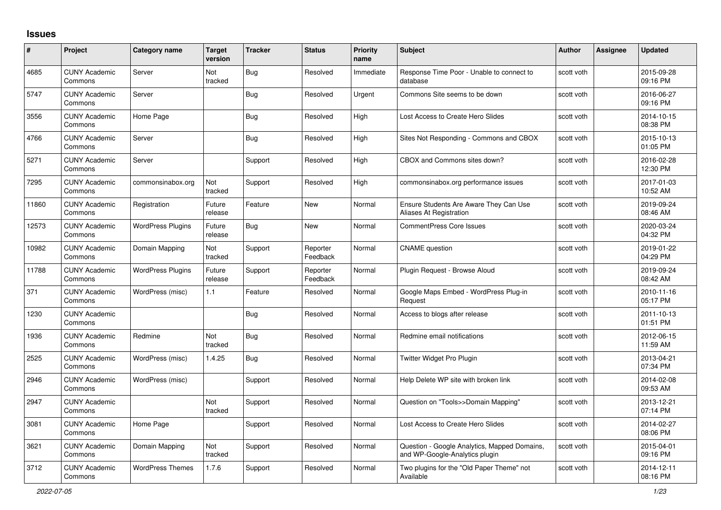## **Issues**

| #     | Project                         | Category name            | <b>Target</b><br>version | <b>Tracker</b> | <b>Status</b>        | <b>Priority</b><br>name | <b>Subject</b>                                                                 | <b>Author</b> | Assignee | <b>Updated</b>         |
|-------|---------------------------------|--------------------------|--------------------------|----------------|----------------------|-------------------------|--------------------------------------------------------------------------------|---------------|----------|------------------------|
| 4685  | <b>CUNY Academic</b><br>Commons | Server                   | Not<br>tracked           | <b>Bug</b>     | Resolved             | Immediate               | Response Time Poor - Unable to connect to<br>database                          | scott voth    |          | 2015-09-28<br>09:16 PM |
| 5747  | <b>CUNY Academic</b><br>Commons | Server                   |                          | <b>Bug</b>     | Resolved             | Urgent                  | Commons Site seems to be down                                                  | scott voth    |          | 2016-06-27<br>09:16 PM |
| 3556  | <b>CUNY Academic</b><br>Commons | Home Page                |                          | Bug            | Resolved             | High                    | Lost Access to Create Hero Slides                                              | scott voth    |          | 2014-10-15<br>08:38 PM |
| 4766  | <b>CUNY Academic</b><br>Commons | Server                   |                          | Bug            | Resolved             | High                    | Sites Not Responding - Commons and CBOX                                        | scott voth    |          | 2015-10-13<br>01:05 PM |
| 5271  | <b>CUNY Academic</b><br>Commons | Server                   |                          | Support        | Resolved             | High                    | CBOX and Commons sites down?                                                   | scott voth    |          | 2016-02-28<br>12:30 PM |
| 7295  | <b>CUNY Academic</b><br>Commons | commonsinabox.org        | Not<br>tracked           | Support        | Resolved             | High                    | commonsinabox.org performance issues                                           | scott voth    |          | 2017-01-03<br>10:52 AM |
| 11860 | <b>CUNY Academic</b><br>Commons | Registration             | Future<br>release        | Feature        | <b>New</b>           | Normal                  | Ensure Students Are Aware They Can Use<br>Aliases At Registration              | scott voth    |          | 2019-09-24<br>08:46 AM |
| 12573 | <b>CUNY Academic</b><br>Commons | <b>WordPress Plugins</b> | Future<br>release        | Bug            | <b>New</b>           | Normal                  | <b>CommentPress Core Issues</b>                                                | scott voth    |          | 2020-03-24<br>04:32 PM |
| 10982 | <b>CUNY Academic</b><br>Commons | Domain Mapping           | Not<br>tracked           | Support        | Reporter<br>Feedback | Normal                  | <b>CNAME</b> question                                                          | scott voth    |          | 2019-01-22<br>04:29 PM |
| 11788 | <b>CUNY Academic</b><br>Commons | <b>WordPress Plugins</b> | Future<br>release        | Support        | Reporter<br>Feedback | Normal                  | Plugin Request - Browse Aloud                                                  | scott voth    |          | 2019-09-24<br>08:42 AM |
| 371   | <b>CUNY Academic</b><br>Commons | WordPress (misc)         | 1.1                      | Feature        | Resolved             | Normal                  | Google Maps Embed - WordPress Plug-in<br>Request                               | scott voth    |          | 2010-11-16<br>05:17 PM |
| 1230  | <b>CUNY Academic</b><br>Commons |                          |                          | Bug            | Resolved             | Normal                  | Access to blogs after release                                                  | scott voth    |          | 2011-10-13<br>01:51 PM |
| 1936  | <b>CUNY Academic</b><br>Commons | Redmine                  | Not<br>tracked           | <b>Bug</b>     | Resolved             | Normal                  | Redmine email notifications                                                    | scott voth    |          | 2012-06-15<br>11:59 AM |
| 2525  | <b>CUNY Academic</b><br>Commons | WordPress (misc)         | 1.4.25                   | Bug            | Resolved             | Normal                  | Twitter Widget Pro Plugin                                                      | scott voth    |          | 2013-04-21<br>07:34 PM |
| 2946  | <b>CUNY Academic</b><br>Commons | WordPress (misc)         |                          | Support        | Resolved             | Normal                  | Help Delete WP site with broken link                                           | scott voth    |          | 2014-02-08<br>09:53 AM |
| 2947  | <b>CUNY Academic</b><br>Commons |                          | Not<br>tracked           | Support        | Resolved             | Normal                  | Question on "Tools>>Domain Mapping"                                            | scott voth    |          | 2013-12-21<br>07:14 PM |
| 3081  | <b>CUNY Academic</b><br>Commons | Home Page                |                          | Support        | Resolved             | Normal                  | Lost Access to Create Hero Slides                                              | scott voth    |          | 2014-02-27<br>08:06 PM |
| 3621  | <b>CUNY Academic</b><br>Commons | Domain Mapping           | Not<br>tracked           | Support        | Resolved             | Normal                  | Question - Google Analytics, Mapped Domains,<br>and WP-Google-Analytics plugin | scott voth    |          | 2015-04-01<br>09:16 PM |
| 3712  | <b>CUNY Academic</b><br>Commons | <b>WordPress Themes</b>  | 1.7.6                    | Support        | Resolved             | Normal                  | Two plugins for the "Old Paper Theme" not<br>Available                         | scott voth    |          | 2014-12-11<br>08:16 PM |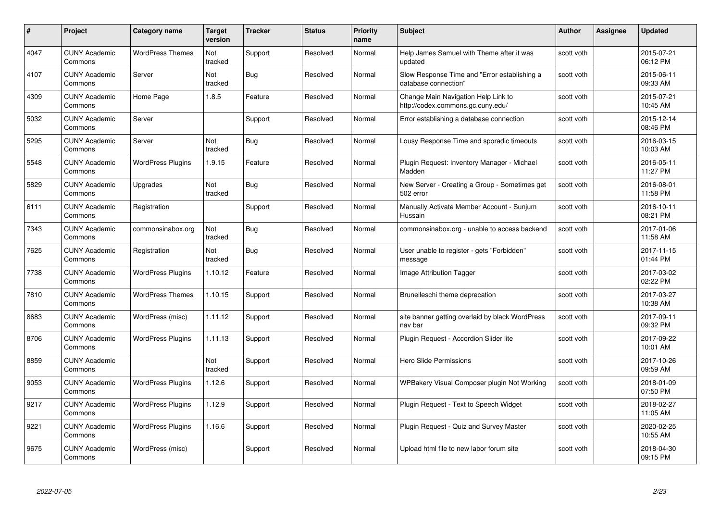| #    | Project                         | <b>Category name</b>     | <b>Target</b><br>version | <b>Tracker</b> | <b>Status</b> | <b>Priority</b><br>name | <b>Subject</b>                                                           | <b>Author</b> | <b>Assignee</b> | <b>Updated</b>         |
|------|---------------------------------|--------------------------|--------------------------|----------------|---------------|-------------------------|--------------------------------------------------------------------------|---------------|-----------------|------------------------|
| 4047 | <b>CUNY Academic</b><br>Commons | <b>WordPress Themes</b>  | Not<br>tracked           | Support        | Resolved      | Normal                  | Help James Samuel with Theme after it was<br>updated                     | scott voth    |                 | 2015-07-21<br>06:12 PM |
| 4107 | <b>CUNY Academic</b><br>Commons | Server                   | Not<br>tracked           | Bug            | Resolved      | Normal                  | Slow Response Time and "Error establishing a<br>database connection"     | scott voth    |                 | 2015-06-11<br>09:33 AM |
| 4309 | <b>CUNY Academic</b><br>Commons | Home Page                | 1.8.5                    | Feature        | Resolved      | Normal                  | Change Main Navigation Help Link to<br>http://codex.commons.gc.cuny.edu/ | scott voth    |                 | 2015-07-21<br>10:45 AM |
| 5032 | <b>CUNY Academic</b><br>Commons | Server                   |                          | Support        | Resolved      | Normal                  | Error establishing a database connection                                 | scott voth    |                 | 2015-12-14<br>08:46 PM |
| 5295 | <b>CUNY Academic</b><br>Commons | Server                   | Not<br>tracked           | <b>Bug</b>     | Resolved      | Normal                  | Lousy Response Time and sporadic timeouts                                | scott voth    |                 | 2016-03-15<br>10:03 AM |
| 5548 | <b>CUNY Academic</b><br>Commons | <b>WordPress Plugins</b> | 1.9.15                   | Feature        | Resolved      | Normal                  | Plugin Request: Inventory Manager - Michael<br>Madden                    | scott voth    |                 | 2016-05-11<br>11:27 PM |
| 5829 | <b>CUNY Academic</b><br>Commons | Upgrades                 | Not<br>tracked           | Bug            | Resolved      | Normal                  | New Server - Creating a Group - Sometimes get<br>502 error               | scott voth    |                 | 2016-08-01<br>11:58 PM |
| 6111 | <b>CUNY Academic</b><br>Commons | Registration             |                          | Support        | Resolved      | Normal                  | Manually Activate Member Account - Sunjum<br>Hussain                     | scott voth    |                 | 2016-10-11<br>08:21 PM |
| 7343 | <b>CUNY Academic</b><br>Commons | commonsinabox.org        | Not<br>tracked           | <b>Bug</b>     | Resolved      | Normal                  | commonsinabox.org - unable to access backend                             | scott voth    |                 | 2017-01-06<br>11:58 AM |
| 7625 | <b>CUNY Academic</b><br>Commons | Registration             | Not<br>tracked           | <b>Bug</b>     | Resolved      | Normal                  | User unable to register - gets "Forbidden"<br>message                    | scott voth    |                 | 2017-11-15<br>01:44 PM |
| 7738 | <b>CUNY Academic</b><br>Commons | <b>WordPress Plugins</b> | 1.10.12                  | Feature        | Resolved      | Normal                  | Image Attribution Tagger                                                 | scott voth    |                 | 2017-03-02<br>02:22 PM |
| 7810 | <b>CUNY Academic</b><br>Commons | <b>WordPress Themes</b>  | 1.10.15                  | Support        | Resolved      | Normal                  | Brunelleschi theme deprecation                                           | scott voth    |                 | 2017-03-27<br>10:38 AM |
| 8683 | <b>CUNY Academic</b><br>Commons | WordPress (misc)         | 1.11.12                  | Support        | Resolved      | Normal                  | site banner getting overlaid by black WordPress<br>nav bar               | scott voth    |                 | 2017-09-11<br>09:32 PM |
| 8706 | <b>CUNY Academic</b><br>Commons | <b>WordPress Plugins</b> | 1.11.13                  | Support        | Resolved      | Normal                  | Plugin Request - Accordion Slider lite                                   | scott voth    |                 | 2017-09-22<br>10:01 AM |
| 8859 | <b>CUNY Academic</b><br>Commons |                          | Not<br>tracked           | Support        | Resolved      | Normal                  | Hero Slide Permissions                                                   | scott voth    |                 | 2017-10-26<br>09:59 AM |
| 9053 | <b>CUNY Academic</b><br>Commons | <b>WordPress Plugins</b> | 1.12.6                   | Support        | Resolved      | Normal                  | WPBakery Visual Composer plugin Not Working                              | scott voth    |                 | 2018-01-09<br>07:50 PM |
| 9217 | <b>CUNY Academic</b><br>Commons | <b>WordPress Plugins</b> | 1.12.9                   | Support        | Resolved      | Normal                  | Plugin Request - Text to Speech Widget                                   | scott voth    |                 | 2018-02-27<br>11:05 AM |
| 9221 | <b>CUNY Academic</b><br>Commons | <b>WordPress Plugins</b> | 1.16.6                   | Support        | Resolved      | Normal                  | Plugin Request - Quiz and Survey Master                                  | scott voth    |                 | 2020-02-25<br>10:55 AM |
| 9675 | <b>CUNY Academic</b><br>Commons | WordPress (misc)         |                          | Support        | Resolved      | Normal                  | Upload html file to new labor forum site                                 | scott voth    |                 | 2018-04-30<br>09:15 PM |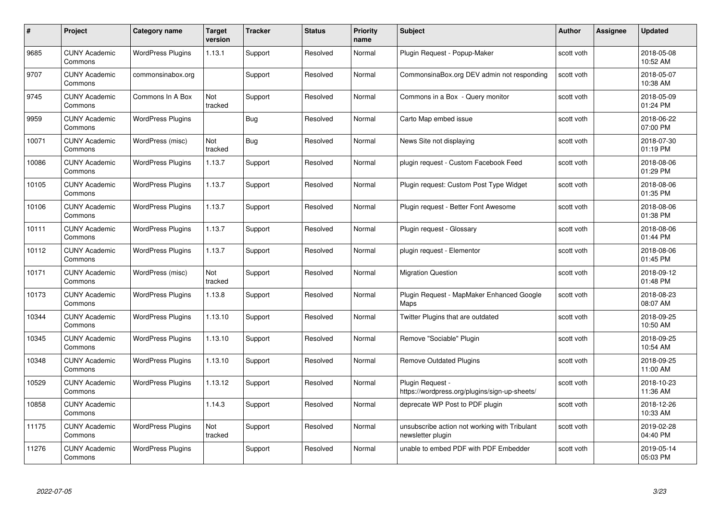| #     | Project                         | Category name            | <b>Target</b><br>version | <b>Tracker</b> | <b>Status</b> | <b>Priority</b><br>name | <b>Subject</b>                                                     | <b>Author</b> | <b>Assignee</b> | <b>Updated</b>         |
|-------|---------------------------------|--------------------------|--------------------------|----------------|---------------|-------------------------|--------------------------------------------------------------------|---------------|-----------------|------------------------|
| 9685  | <b>CUNY Academic</b><br>Commons | <b>WordPress Plugins</b> | 1.13.1                   | Support        | Resolved      | Normal                  | Plugin Reguest - Popup-Maker                                       | scott voth    |                 | 2018-05-08<br>10:52 AM |
| 9707  | <b>CUNY Academic</b><br>Commons | commonsinabox.org        |                          | Support        | Resolved      | Normal                  | CommonsinaBox.org DEV admin not responding                         | scott voth    |                 | 2018-05-07<br>10:38 AM |
| 9745  | <b>CUNY Academic</b><br>Commons | Commons In A Box         | Not<br>tracked           | Support        | Resolved      | Normal                  | Commons in a Box - Query monitor                                   | scott voth    |                 | 2018-05-09<br>01:24 PM |
| 9959  | <b>CUNY Academic</b><br>Commons | <b>WordPress Plugins</b> |                          | Bug            | Resolved      | Normal                  | Carto Map embed issue                                              | scott voth    |                 | 2018-06-22<br>07:00 PM |
| 10071 | <b>CUNY Academic</b><br>Commons | WordPress (misc)         | Not<br>tracked           | <b>Bug</b>     | Resolved      | Normal                  | News Site not displaying                                           | scott voth    |                 | 2018-07-30<br>01:19 PM |
| 10086 | <b>CUNY Academic</b><br>Commons | <b>WordPress Plugins</b> | 1.13.7                   | Support        | Resolved      | Normal                  | plugin request - Custom Facebook Feed                              | scott voth    |                 | 2018-08-06<br>01:29 PM |
| 10105 | <b>CUNY Academic</b><br>Commons | <b>WordPress Plugins</b> | 1.13.7                   | Support        | Resolved      | Normal                  | Plugin request: Custom Post Type Widget                            | scott voth    |                 | 2018-08-06<br>01:35 PM |
| 10106 | <b>CUNY Academic</b><br>Commons | <b>WordPress Plugins</b> | 1.13.7                   | Support        | Resolved      | Normal                  | Plugin request - Better Font Awesome                               | scott voth    |                 | 2018-08-06<br>01:38 PM |
| 10111 | <b>CUNY Academic</b><br>Commons | <b>WordPress Plugins</b> | 1.13.7                   | Support        | Resolved      | Normal                  | Plugin request - Glossary                                          | scott voth    |                 | 2018-08-06<br>01:44 PM |
| 10112 | <b>CUNY Academic</b><br>Commons | <b>WordPress Plugins</b> | 1.13.7                   | Support        | Resolved      | Normal                  | plugin request - Elementor                                         | scott voth    |                 | 2018-08-06<br>01:45 PM |
| 10171 | <b>CUNY Academic</b><br>Commons | WordPress (misc)         | Not<br>tracked           | Support        | Resolved      | Normal                  | <b>Migration Question</b>                                          | scott voth    |                 | 2018-09-12<br>01:48 PM |
| 10173 | <b>CUNY Academic</b><br>Commons | <b>WordPress Plugins</b> | 1.13.8                   | Support        | Resolved      | Normal                  | Plugin Request - MapMaker Enhanced Google<br>Maps                  | scott voth    |                 | 2018-08-23<br>08:07 AM |
| 10344 | <b>CUNY Academic</b><br>Commons | <b>WordPress Plugins</b> | 1.13.10                  | Support        | Resolved      | Normal                  | Twitter Plugins that are outdated                                  | scott voth    |                 | 2018-09-25<br>10:50 AM |
| 10345 | <b>CUNY Academic</b><br>Commons | <b>WordPress Plugins</b> | 1.13.10                  | Support        | Resolved      | Normal                  | Remove "Sociable" Plugin                                           | scott voth    |                 | 2018-09-25<br>10:54 AM |
| 10348 | <b>CUNY Academic</b><br>Commons | <b>WordPress Plugins</b> | 1.13.10                  | Support        | Resolved      | Normal                  | <b>Remove Outdated Plugins</b>                                     | scott voth    |                 | 2018-09-25<br>11:00 AM |
| 10529 | <b>CUNY Academic</b><br>Commons | <b>WordPress Plugins</b> | 1.13.12                  | Support        | Resolved      | Normal                  | Plugin Request -<br>https://wordpress.org/plugins/sign-up-sheets/  | scott voth    |                 | 2018-10-23<br>11:36 AM |
| 10858 | <b>CUNY Academic</b><br>Commons |                          | 1.14.3                   | Support        | Resolved      | Normal                  | deprecate WP Post to PDF plugin                                    | scott voth    |                 | 2018-12-26<br>10:33 AM |
| 11175 | <b>CUNY Academic</b><br>Commons | <b>WordPress Plugins</b> | Not<br>tracked           | Support        | Resolved      | Normal                  | unsubscribe action not working with Tribulant<br>newsletter plugin | scott voth    |                 | 2019-02-28<br>04:40 PM |
| 11276 | CUNY Academic<br>Commons        | <b>WordPress Plugins</b> |                          | Support        | Resolved      | Normal                  | unable to embed PDF with PDF Embedder                              | scott voth    |                 | 2019-05-14<br>05:03 PM |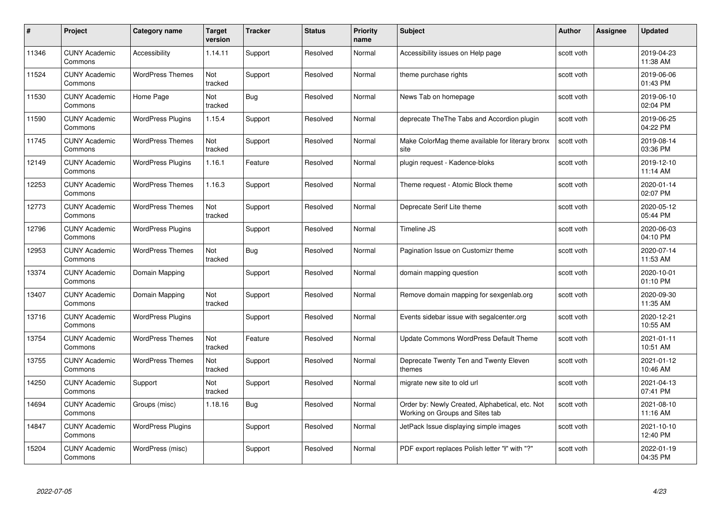| #     | Project                         | <b>Category name</b>     | <b>Target</b><br>version | <b>Tracker</b> | <b>Status</b> | Priority<br>name | <b>Subject</b>                                                                     | <b>Author</b> | Assignee | <b>Updated</b>         |
|-------|---------------------------------|--------------------------|--------------------------|----------------|---------------|------------------|------------------------------------------------------------------------------------|---------------|----------|------------------------|
| 11346 | <b>CUNY Academic</b><br>Commons | Accessibility            | 1.14.11                  | Support        | Resolved      | Normal           | Accessibility issues on Help page                                                  | scott voth    |          | 2019-04-23<br>11:38 AM |
| 11524 | <b>CUNY Academic</b><br>Commons | <b>WordPress Themes</b>  | Not<br>tracked           | Support        | Resolved      | Normal           | theme purchase rights                                                              | scott voth    |          | 2019-06-06<br>01:43 PM |
| 11530 | <b>CUNY Academic</b><br>Commons | Home Page                | Not<br>tracked           | <b>Bug</b>     | Resolved      | Normal           | News Tab on homepage                                                               | scott voth    |          | 2019-06-10<br>02:04 PM |
| 11590 | <b>CUNY Academic</b><br>Commons | <b>WordPress Plugins</b> | 1.15.4                   | Support        | Resolved      | Normal           | deprecate TheThe Tabs and Accordion plugin                                         | scott voth    |          | 2019-06-25<br>04:22 PM |
| 11745 | <b>CUNY Academic</b><br>Commons | <b>WordPress Themes</b>  | Not<br>tracked           | Support        | Resolved      | Normal           | Make ColorMag theme available for literary bronx<br>site                           | scott voth    |          | 2019-08-14<br>03:36 PM |
| 12149 | <b>CUNY Academic</b><br>Commons | <b>WordPress Plugins</b> | 1.16.1                   | Feature        | Resolved      | Normal           | plugin request - Kadence-bloks                                                     | scott voth    |          | 2019-12-10<br>11:14 AM |
| 12253 | <b>CUNY Academic</b><br>Commons | <b>WordPress Themes</b>  | 1.16.3                   | Support        | Resolved      | Normal           | Theme request - Atomic Block theme                                                 | scott voth    |          | 2020-01-14<br>02:07 PM |
| 12773 | <b>CUNY Academic</b><br>Commons | <b>WordPress Themes</b>  | Not<br>tracked           | Support        | Resolved      | Normal           | Deprecate Serif Lite theme                                                         | scott voth    |          | 2020-05-12<br>05:44 PM |
| 12796 | <b>CUNY Academic</b><br>Commons | <b>WordPress Plugins</b> |                          | Support        | Resolved      | Normal           | Timeline JS                                                                        | scott voth    |          | 2020-06-03<br>04:10 PM |
| 12953 | <b>CUNY Academic</b><br>Commons | <b>WordPress Themes</b>  | Not<br>tracked           | <b>Bug</b>     | Resolved      | Normal           | Pagination Issue on Customizr theme                                                | scott voth    |          | 2020-07-14<br>11:53 AM |
| 13374 | <b>CUNY Academic</b><br>Commons | Domain Mapping           |                          | Support        | Resolved      | Normal           | domain mapping question                                                            | scott voth    |          | 2020-10-01<br>01:10 PM |
| 13407 | <b>CUNY Academic</b><br>Commons | Domain Mapping           | Not<br>tracked           | Support        | Resolved      | Normal           | Remove domain mapping for sexgenlab.org                                            | scott voth    |          | 2020-09-30<br>11:35 AM |
| 13716 | <b>CUNY Academic</b><br>Commons | <b>WordPress Plugins</b> |                          | Support        | Resolved      | Normal           | Events sidebar issue with segalcenter.org                                          | scott voth    |          | 2020-12-21<br>10:55 AM |
| 13754 | <b>CUNY Academic</b><br>Commons | <b>WordPress Themes</b>  | Not<br>tracked           | Feature        | Resolved      | Normal           | Update Commons WordPress Default Theme                                             | scott voth    |          | 2021-01-11<br>10:51 AM |
| 13755 | <b>CUNY Academic</b><br>Commons | <b>WordPress Themes</b>  | Not<br>tracked           | Support        | Resolved      | Normal           | Deprecate Twenty Ten and Twenty Eleven<br>themes                                   | scott voth    |          | 2021-01-12<br>10:46 AM |
| 14250 | <b>CUNY Academic</b><br>Commons | Support                  | Not<br>tracked           | Support        | Resolved      | Normal           | migrate new site to old url                                                        | scott voth    |          | 2021-04-13<br>07:41 PM |
| 14694 | <b>CUNY Academic</b><br>Commons | Groups (misc)            | 1.18.16                  | Bug            | Resolved      | Normal           | Order by: Newly Created, Alphabetical, etc. Not<br>Working on Groups and Sites tab | scott voth    |          | 2021-08-10<br>11:16 AM |
| 14847 | <b>CUNY Academic</b><br>Commons | <b>WordPress Plugins</b> |                          | Support        | Resolved      | Normal           | JetPack Issue displaying simple images                                             | scott voth    |          | 2021-10-10<br>12:40 PM |
| 15204 | <b>CUNY Academic</b><br>Commons | WordPress (misc)         |                          | Support        | Resolved      | Normal           | PDF export replaces Polish letter "ł" with "?"                                     | scott voth    |          | 2022-01-19<br>04:35 PM |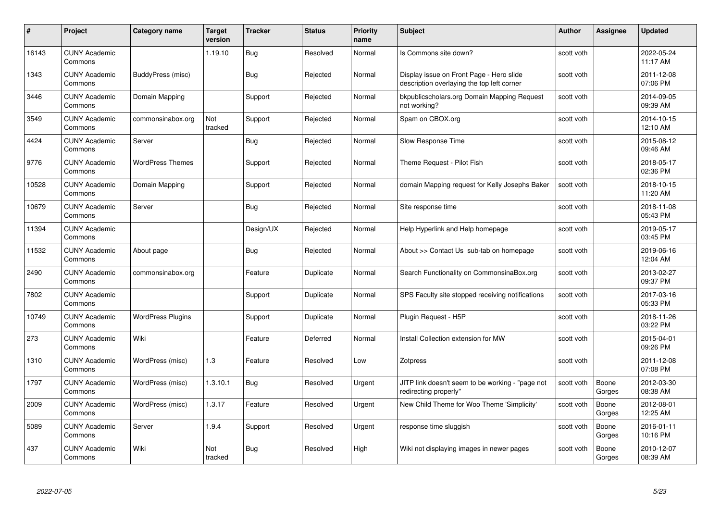| #     | Project                         | Category name            | <b>Target</b><br>version | <b>Tracker</b> | <b>Status</b> | <b>Priority</b><br>name | <b>Subject</b>                                                                         | <b>Author</b> | <b>Assignee</b> | <b>Updated</b>         |
|-------|---------------------------------|--------------------------|--------------------------|----------------|---------------|-------------------------|----------------------------------------------------------------------------------------|---------------|-----------------|------------------------|
| 16143 | <b>CUNY Academic</b><br>Commons |                          | 1.19.10                  | Bug            | Resolved      | Normal                  | Is Commons site down?                                                                  | scott voth    |                 | 2022-05-24<br>11:17 AM |
| 1343  | <b>CUNY Academic</b><br>Commons | BuddyPress (misc)        |                          | Bug            | Rejected      | Normal                  | Display issue on Front Page - Hero slide<br>description overlaying the top left corner | scott voth    |                 | 2011-12-08<br>07:06 PM |
| 3446  | <b>CUNY Academic</b><br>Commons | Domain Mapping           |                          | Support        | Rejected      | Normal                  | bkpublicscholars.org Domain Mapping Request<br>not working?                            | scott voth    |                 | 2014-09-05<br>09:39 AM |
| 3549  | <b>CUNY Academic</b><br>Commons | commonsinabox.org        | Not<br>tracked           | Support        | Rejected      | Normal                  | Spam on CBOX.org                                                                       | scott voth    |                 | 2014-10-15<br>12:10 AM |
| 4424  | <b>CUNY Academic</b><br>Commons | Server                   |                          | Bug            | Rejected      | Normal                  | Slow Response Time                                                                     | scott voth    |                 | 2015-08-12<br>09:46 AM |
| 9776  | <b>CUNY Academic</b><br>Commons | <b>WordPress Themes</b>  |                          | Support        | Rejected      | Normal                  | Theme Request - Pilot Fish                                                             | scott voth    |                 | 2018-05-17<br>02:36 PM |
| 10528 | <b>CUNY Academic</b><br>Commons | Domain Mapping           |                          | Support        | Rejected      | Normal                  | domain Mapping request for Kelly Josephs Baker                                         | scott voth    |                 | 2018-10-15<br>11:20 AM |
| 10679 | <b>CUNY Academic</b><br>Commons | Server                   |                          | Bug            | Rejected      | Normal                  | Site response time                                                                     | scott voth    |                 | 2018-11-08<br>05:43 PM |
| 11394 | <b>CUNY Academic</b><br>Commons |                          |                          | Design/UX      | Rejected      | Normal                  | Help Hyperlink and Help homepage                                                       | scott voth    |                 | 2019-05-17<br>03:45 PM |
| 11532 | <b>CUNY Academic</b><br>Commons | About page               |                          | <b>Bug</b>     | Rejected      | Normal                  | About >> Contact Us sub-tab on homepage                                                | scott voth    |                 | 2019-06-16<br>12:04 AM |
| 2490  | <b>CUNY Academic</b><br>Commons | commonsinabox.org        |                          | Feature        | Duplicate     | Normal                  | Search Functionality on CommonsinaBox.org                                              | scott voth    |                 | 2013-02-27<br>09:37 PM |
| 7802  | <b>CUNY Academic</b><br>Commons |                          |                          | Support        | Duplicate     | Normal                  | SPS Faculty site stopped receiving notifications                                       | scott voth    |                 | 2017-03-16<br>05:33 PM |
| 10749 | <b>CUNY Academic</b><br>Commons | <b>WordPress Plugins</b> |                          | Support        | Duplicate     | Normal                  | Plugin Request - H5P                                                                   | scott voth    |                 | 2018-11-26<br>03:22 PM |
| 273   | <b>CUNY Academic</b><br>Commons | Wiki                     |                          | Feature        | Deferred      | Normal                  | Install Collection extension for MW                                                    | scott voth    |                 | 2015-04-01<br>09:26 PM |
| 1310  | <b>CUNY Academic</b><br>Commons | WordPress (misc)         | 1.3                      | Feature        | Resolved      | Low                     | Zotpress                                                                               | scott voth    |                 | 2011-12-08<br>07:08 PM |
| 1797  | <b>CUNY Academic</b><br>Commons | WordPress (misc)         | 1.3.10.1                 | Bug            | Resolved      | Urgent                  | JITP link doesn't seem to be working - "page not<br>redirecting properly"              | scott voth    | Boone<br>Gorges | 2012-03-30<br>08:38 AM |
| 2009  | <b>CUNY Academic</b><br>Commons | WordPress (misc)         | 1.3.17                   | Feature        | Resolved      | Urgent                  | New Child Theme for Woo Theme 'Simplicity'                                             | scott voth    | Boone<br>Gorges | 2012-08-01<br>12:25 AM |
| 5089  | <b>CUNY Academic</b><br>Commons | Server                   | 1.9.4                    | Support        | Resolved      | Urgent                  | response time sluggish                                                                 | scott voth    | Boone<br>Gorges | 2016-01-11<br>10:16 PM |
| 437   | <b>CUNY Academic</b><br>Commons | Wiki                     | Not<br>tracked           | <b>Bug</b>     | Resolved      | High                    | Wiki not displaying images in newer pages                                              | scott voth    | Boone<br>Gorges | 2010-12-07<br>08:39 AM |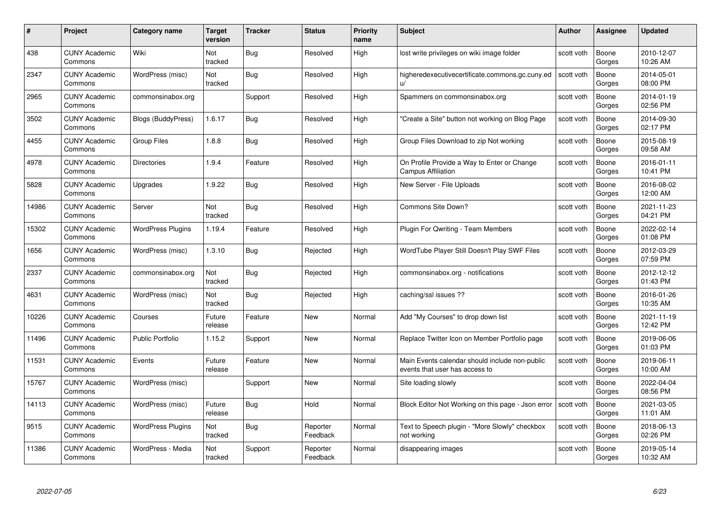| #     | Project                         | <b>Category name</b>     | Target<br>version     | <b>Tracker</b> | <b>Status</b>        | <b>Priority</b><br>name | <b>Subject</b>                                                                   | <b>Author</b> | <b>Assignee</b> | <b>Updated</b>         |
|-------|---------------------------------|--------------------------|-----------------------|----------------|----------------------|-------------------------|----------------------------------------------------------------------------------|---------------|-----------------|------------------------|
| 438   | <b>CUNY Academic</b><br>Commons | Wiki                     | <b>Not</b><br>tracked | Bug            | Resolved             | High                    | lost write privileges on wiki image folder                                       | scott voth    | Boone<br>Gorges | 2010-12-07<br>10:26 AM |
| 2347  | <b>CUNY Academic</b><br>Commons | WordPress (misc)         | Not<br>tracked        | Bug            | Resolved             | High                    | higheredexecutivecertificate.commons.gc.cuny.ed<br>u/                            | scott voth    | Boone<br>Gorges | 2014-05-01<br>08:00 PM |
| 2965  | <b>CUNY Academic</b><br>Commons | commonsinabox.org        |                       | Support        | Resolved             | High                    | Spammers on commonsinabox.org                                                    | scott voth    | Boone<br>Gorges | 2014-01-19<br>02:56 PM |
| 3502  | <b>CUNY Academic</b><br>Commons | Blogs (BuddyPress)       | 1.6.17                | Bug            | Resolved             | High                    | "Create a Site" button not working on Blog Page                                  | scott voth    | Boone<br>Gorges | 2014-09-30<br>02:17 PM |
| 4455  | CUNY Academic<br>Commons        | <b>Group Files</b>       | 1.8.8                 | <b>Bug</b>     | Resolved             | High                    | Group Files Download to zip Not working                                          | scott voth    | Boone<br>Gorges | 2015-08-19<br>09:58 AM |
| 4978  | <b>CUNY Academic</b><br>Commons | <b>Directories</b>       | 1.9.4                 | Feature        | Resolved             | High                    | On Profile Provide a Way to Enter or Change<br><b>Campus Affiliation</b>         | scott voth    | Boone<br>Gorges | 2016-01-11<br>10:41 PM |
| 5828  | <b>CUNY Academic</b><br>Commons | Upgrades                 | 1.9.22                | Bug            | Resolved             | High                    | New Server - File Uploads                                                        | scott voth    | Boone<br>Gorges | 2016-08-02<br>12:00 AM |
| 14986 | <b>CUNY Academic</b><br>Commons | Server                   | Not<br>tracked        | Bug            | Resolved             | High                    | Commons Site Down?                                                               | scott voth    | Boone<br>Gorges | 2021-11-23<br>04:21 PM |
| 15302 | <b>CUNY Academic</b><br>Commons | <b>WordPress Plugins</b> | 1.19.4                | Feature        | Resolved             | High                    | Plugin For Qwriting - Team Members                                               | scott voth    | Boone<br>Gorges | 2022-02-14<br>01:08 PM |
| 1656  | <b>CUNY Academic</b><br>Commons | WordPress (misc)         | 1.3.10                | Bug            | Rejected             | High                    | WordTube Player Still Doesn't Play SWF Files                                     | scott voth    | Boone<br>Gorges | 2012-03-29<br>07:59 PM |
| 2337  | CUNY Academic<br>Commons        | commonsinabox.org        | Not<br>tracked        | <b>Bug</b>     | Rejected             | High                    | commonsinabox.org - notifications                                                | scott voth    | Boone<br>Gorges | 2012-12-12<br>01:43 PM |
| 4631  | <b>CUNY Academic</b><br>Commons | WordPress (misc)         | Not<br>tracked        | Bug            | Rejected             | High                    | caching/ssl issues ??                                                            | scott voth    | Boone<br>Gorges | 2016-01-26<br>10:35 AM |
| 10226 | <b>CUNY Academic</b><br>Commons | Courses                  | Future<br>release     | Feature        | New                  | Normal                  | Add "My Courses" to drop down list                                               | scott voth    | Boone<br>Gorges | 2021-11-19<br>12:42 PM |
| 11496 | <b>CUNY Academic</b><br>Commons | <b>Public Portfolio</b>  | 1.15.2                | Support        | New                  | Normal                  | Replace Twitter Icon on Member Portfolio page                                    | scott voth    | Boone<br>Gorges | 2019-06-06<br>01:03 PM |
| 11531 | <b>CUNY Academic</b><br>Commons | Events                   | Future<br>release     | Feature        | <b>New</b>           | Normal                  | Main Events calendar should include non-public<br>events that user has access to | scott voth    | Boone<br>Gorges | 2019-06-11<br>10:00 AM |
| 15767 | <b>CUNY Academic</b><br>Commons | WordPress (misc)         |                       | Support        | <b>New</b>           | Normal                  | Site loading slowly                                                              | scott voth    | Boone<br>Gorges | 2022-04-04<br>08:56 PM |
| 14113 | <b>CUNY Academic</b><br>Commons | WordPress (misc)         | Future<br>release     | <b>Bug</b>     | Hold                 | Normal                  | Block Editor Not Working on this page - Json error Scott voth                    |               | Boone<br>Gorges | 2021-03-05<br>11:01 AM |
| 9515  | <b>CUNY Academic</b><br>Commons | <b>WordPress Plugins</b> | Not<br>tracked        | <b>Bug</b>     | Reporter<br>Feedback | Normal                  | Text to Speech plugin - "More Slowly" checkbox<br>not working                    | scott voth    | Boone<br>Gorges | 2018-06-13<br>02:26 PM |
| 11386 | CUNY Academic<br>Commons        | WordPress - Media        | Not<br>tracked        | Support        | Reporter<br>Feedback | Normal                  | disappearing images                                                              | scott voth    | Boone<br>Gorges | 2019-05-14<br>10:32 AM |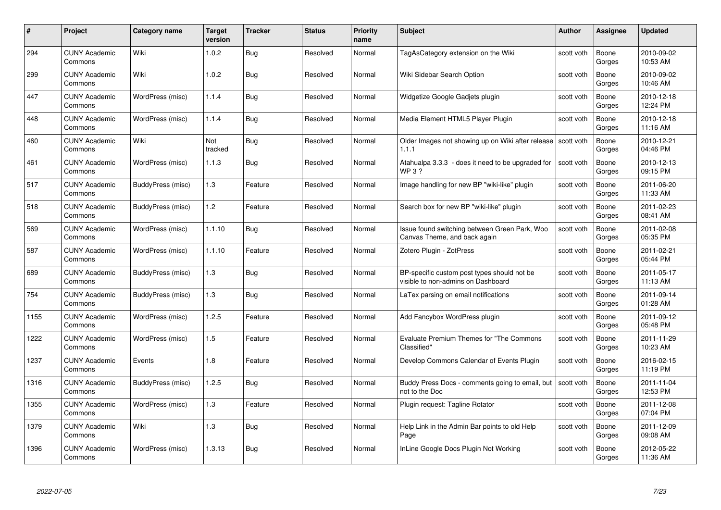| #    | Project                         | Category name     | <b>Target</b><br>version | <b>Tracker</b> | <b>Status</b> | <b>Priority</b><br>name | <b>Subject</b>                                                                    | <b>Author</b> | Assignee        | <b>Updated</b>         |
|------|---------------------------------|-------------------|--------------------------|----------------|---------------|-------------------------|-----------------------------------------------------------------------------------|---------------|-----------------|------------------------|
| 294  | <b>CUNY Academic</b><br>Commons | Wiki              | 1.0.2                    | <b>Bug</b>     | Resolved      | Normal                  | TagAsCategory extension on the Wiki                                               | scott voth    | Boone<br>Gorges | 2010-09-02<br>10:53 AM |
| 299  | <b>CUNY Academic</b><br>Commons | Wiki              | 1.0.2                    | Bug            | Resolved      | Normal                  | Wiki Sidebar Search Option                                                        | scott voth    | Boone<br>Gorges | 2010-09-02<br>10:46 AM |
| 447  | <b>CUNY Academic</b><br>Commons | WordPress (misc)  | 1.1.4                    | <b>Bug</b>     | Resolved      | Normal                  | Widgetize Google Gadjets plugin                                                   | scott voth    | Boone<br>Gorges | 2010-12-18<br>12:24 PM |
| 448  | <b>CUNY Academic</b><br>Commons | WordPress (misc)  | 1.1.4                    | Bug            | Resolved      | Normal                  | Media Element HTML5 Player Plugin                                                 | scott voth    | Boone<br>Gorges | 2010-12-18<br>11:16 AM |
| 460  | <b>CUNY Academic</b><br>Commons | Wiki              | Not<br>tracked           | <b>Bug</b>     | Resolved      | Normal                  | Older Images not showing up on Wiki after release<br>1.1.1                        | scott voth    | Boone<br>Gorges | 2010-12-21<br>04:46 PM |
| 461  | <b>CUNY Academic</b><br>Commons | WordPress (misc)  | 1.1.3                    | Bug            | Resolved      | Normal                  | Atahualpa 3.3.3 - does it need to be upgraded for<br><b>WP3?</b>                  | scott voth    | Boone<br>Gorges | 2010-12-13<br>09:15 PM |
| 517  | <b>CUNY Academic</b><br>Commons | BuddyPress (misc) | 1.3                      | Feature        | Resolved      | Normal                  | Image handling for new BP "wiki-like" plugin                                      | scott voth    | Boone<br>Gorges | 2011-06-20<br>11:33 AM |
| 518  | <b>CUNY Academic</b><br>Commons | BuddyPress (misc) | 1.2                      | Feature        | Resolved      | Normal                  | Search box for new BP "wiki-like" plugin                                          | scott voth    | Boone<br>Gorges | 2011-02-23<br>08:41 AM |
| 569  | <b>CUNY Academic</b><br>Commons | WordPress (misc)  | 1.1.10                   | <b>Bug</b>     | Resolved      | Normal                  | Issue found switching between Green Park, Woo<br>Canvas Theme, and back again     | scott voth    | Boone<br>Gorges | 2011-02-08<br>05:35 PM |
| 587  | <b>CUNY Academic</b><br>Commons | WordPress (misc)  | 1.1.10                   | Feature        | Resolved      | Normal                  | Zotero Plugin - ZotPress                                                          | scott voth    | Boone<br>Gorges | 2011-02-21<br>05:44 PM |
| 689  | <b>CUNY Academic</b><br>Commons | BuddyPress (misc) | 1.3                      | Bug            | Resolved      | Normal                  | BP-specific custom post types should not be<br>visible to non-admins on Dashboard | scott voth    | Boone<br>Gorges | 2011-05-17<br>11:13 AM |
| 754  | <b>CUNY Academic</b><br>Commons | BuddyPress (misc) | $1.3$                    | Bug            | Resolved      | Normal                  | LaTex parsing on email notifications                                              | scott voth    | Boone<br>Gorges | 2011-09-14<br>01:28 AM |
| 1155 | <b>CUNY Academic</b><br>Commons | WordPress (misc)  | 1.2.5                    | Feature        | Resolved      | Normal                  | Add Fancybox WordPress plugin                                                     | scott voth    | Boone<br>Gorges | 2011-09-12<br>05:48 PM |
| 1222 | <b>CUNY Academic</b><br>Commons | WordPress (misc)  | 1.5                      | Feature        | Resolved      | Normal                  | Evaluate Premium Themes for "The Commons"<br>Classified"                          | scott voth    | Boone<br>Gorges | 2011-11-29<br>10:23 AM |
| 1237 | <b>CUNY Academic</b><br>Commons | Events            | 1.8                      | Feature        | Resolved      | Normal                  | Develop Commons Calendar of Events Plugin                                         | scott voth    | Boone<br>Gorges | 2016-02-15<br>11:19 PM |
| 1316 | <b>CUNY Academic</b><br>Commons | BuddyPress (misc) | 1.2.5                    | Bug            | Resolved      | Normal                  | Buddy Press Docs - comments going to email, but<br>not to the Doc                 | scott voth    | Boone<br>Gorges | 2011-11-04<br>12:53 PM |
| 1355 | <b>CUNY Academic</b><br>Commons | WordPress (misc)  | 1.3                      | Feature        | Resolved      | Normal                  | Plugin request: Tagline Rotator                                                   | scott voth    | Boone<br>Gorges | 2011-12-08<br>07:04 PM |
| 1379 | <b>CUNY Academic</b><br>Commons | Wiki              | 1.3                      | Bug            | Resolved      | Normal                  | Help Link in the Admin Bar points to old Help<br>Page                             | scott voth    | Boone<br>Gorges | 2011-12-09<br>09:08 AM |
| 1396 | <b>CUNY Academic</b><br>Commons | WordPress (misc)  | 1.3.13                   | <b>Bug</b>     | Resolved      | Normal                  | InLine Google Docs Plugin Not Working                                             | scott voth    | Boone<br>Gorges | 2012-05-22<br>11:36 AM |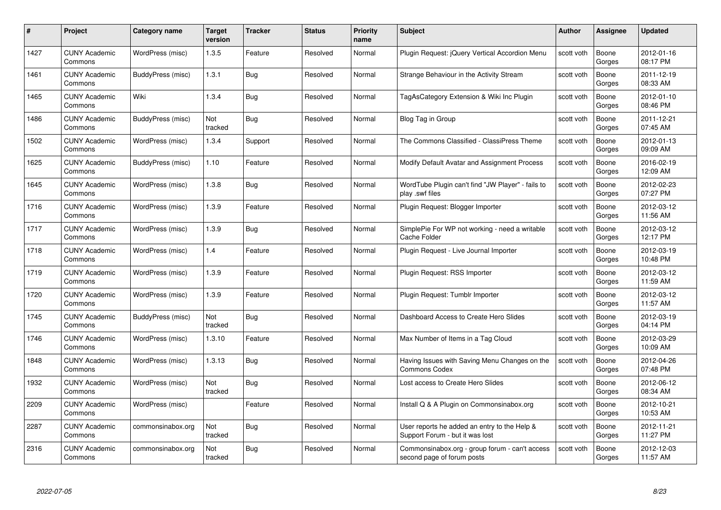| #    | Project                         | <b>Category name</b> | Target<br>version | <b>Tracker</b> | <b>Status</b> | <b>Priority</b><br>name | <b>Subject</b>                                                                  | <b>Author</b> | <b>Assignee</b> | <b>Updated</b>         |
|------|---------------------------------|----------------------|-------------------|----------------|---------------|-------------------------|---------------------------------------------------------------------------------|---------------|-----------------|------------------------|
| 1427 | <b>CUNY Academic</b><br>Commons | WordPress (misc)     | 1.3.5             | Feature        | Resolved      | Normal                  | Plugin Request: jQuery Vertical Accordion Menu                                  | scott voth    | Boone<br>Gorges | 2012-01-16<br>08:17 PM |
| 1461 | <b>CUNY Academic</b><br>Commons | BuddyPress (misc)    | 1.3.1             | Bug            | Resolved      | Normal                  | Strange Behaviour in the Activity Stream                                        | scott voth    | Boone<br>Gorges | 2011-12-19<br>08:33 AM |
| 1465 | <b>CUNY Academic</b><br>Commons | Wiki                 | 1.3.4             | Bug            | Resolved      | Normal                  | TagAsCategory Extension & Wiki Inc Plugin                                       | scott voth    | Boone<br>Gorges | 2012-01-10<br>08:46 PM |
| 1486 | <b>CUNY Academic</b><br>Commons | BuddyPress (misc)    | Not<br>tracked    | <b>Bug</b>     | Resolved      | Normal                  | Blog Tag in Group                                                               | scott voth    | Boone<br>Gorges | 2011-12-21<br>07:45 AM |
| 1502 | <b>CUNY Academic</b><br>Commons | WordPress (misc)     | 1.3.4             | Support        | Resolved      | Normal                  | The Commons Classified - ClassiPress Theme                                      | scott voth    | Boone<br>Gorges | 2012-01-13<br>09:09 AM |
| 1625 | <b>CUNY Academic</b><br>Commons | BuddyPress (misc)    | 1.10              | Feature        | Resolved      | Normal                  | Modify Default Avatar and Assignment Process                                    | scott voth    | Boone<br>Gorges | 2016-02-19<br>12:09 AM |
| 1645 | <b>CUNY Academic</b><br>Commons | WordPress (misc)     | 1.3.8             | <b>Bug</b>     | Resolved      | Normal                  | WordTube Plugin can't find "JW Player" - fails to<br>play .swf files            | scott voth    | Boone<br>Gorges | 2012-02-23<br>07:27 PM |
| 1716 | <b>CUNY Academic</b><br>Commons | WordPress (misc)     | 1.3.9             | Feature        | Resolved      | Normal                  | Plugin Request: Blogger Importer                                                | scott voth    | Boone<br>Gorges | 2012-03-12<br>11:56 AM |
| 1717 | <b>CUNY Academic</b><br>Commons | WordPress (misc)     | 1.3.9             | <b>Bug</b>     | Resolved      | Normal                  | SimplePie For WP not working - need a writable<br><b>Cache Folder</b>           | scott voth    | Boone<br>Gorges | 2012-03-12<br>12:17 PM |
| 1718 | <b>CUNY Academic</b><br>Commons | WordPress (misc)     | 1.4               | Feature        | Resolved      | Normal                  | Plugin Request - Live Journal Importer                                          | scott voth    | Boone<br>Gorges | 2012-03-19<br>10:48 PM |
| 1719 | CUNY Academic<br>Commons        | WordPress (misc)     | 1.3.9             | Feature        | Resolved      | Normal                  | Plugin Request: RSS Importer                                                    | scott voth    | Boone<br>Gorges | 2012-03-12<br>11:59 AM |
| 1720 | <b>CUNY Academic</b><br>Commons | WordPress (misc)     | 1.3.9             | Feature        | Resolved      | Normal                  | Plugin Request: Tumblr Importer                                                 | scott voth    | Boone<br>Gorges | 2012-03-12<br>11:57 AM |
| 1745 | CUNY Academic<br>Commons        | BuddyPress (misc)    | Not<br>tracked    | <b>Bug</b>     | Resolved      | Normal                  | Dashboard Access to Create Hero Slides                                          | scott voth    | Boone<br>Gorges | 2012-03-19<br>04:14 PM |
| 1746 | <b>CUNY Academic</b><br>Commons | WordPress (misc)     | 1.3.10            | Feature        | Resolved      | Normal                  | Max Number of Items in a Tag Cloud                                              | scott voth    | Boone<br>Gorges | 2012-03-29<br>10:09 AM |
| 1848 | <b>CUNY Academic</b><br>Commons | WordPress (misc)     | 1.3.13            | Bug            | Resolved      | Normal                  | Having Issues with Saving Menu Changes on the<br><b>Commons Codex</b>           | scott voth    | Boone<br>Gorges | 2012-04-26<br>07:48 PM |
| 1932 | <b>CUNY Academic</b><br>Commons | WordPress (misc)     | Not<br>tracked    | Bug            | Resolved      | Normal                  | Lost access to Create Hero Slides                                               | scott voth    | Boone<br>Gorges | 2012-06-12<br>08:34 AM |
| 2209 | <b>CUNY Academic</b><br>Commons | WordPress (misc)     |                   | Feature        | Resolved      | Normal                  | Install Q & A Plugin on Commonsinabox.org                                       | scott voth    | Boone<br>Gorges | 2012-10-21<br>10:53 AM |
| 2287 | <b>CUNY Academic</b><br>Commons | commonsinabox.org    | Not<br>tracked    | Bug            | Resolved      | Normal                  | User reports he added an entry to the Help &<br>Support Forum - but it was lost | scott voth    | Boone<br>Gorges | 2012-11-21<br>11:27 PM |
| 2316 | CUNY Academic<br>Commons        | commonsinabox.org    | Not<br>tracked    | Bug            | Resolved      | Normal                  | Commonsinabox.org - group forum - can't access<br>second page of forum posts    | scott voth    | Boone<br>Gorges | 2012-12-03<br>11:57 AM |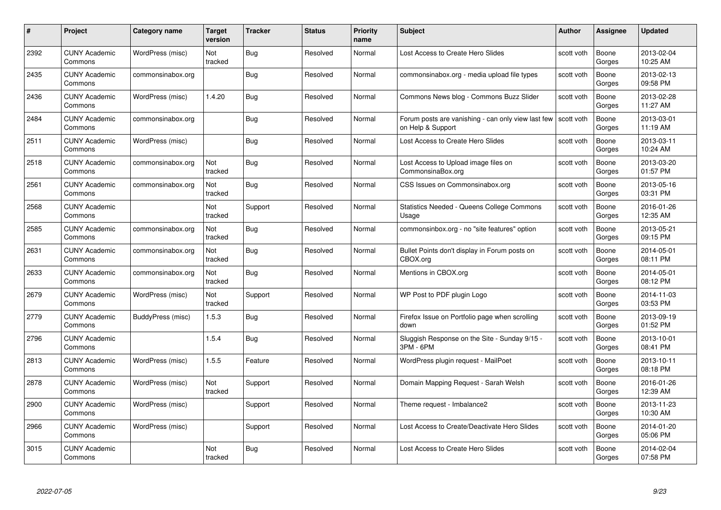| #    | Project                         | <b>Category name</b> | Target<br>version     | <b>Tracker</b> | <b>Status</b> | <b>Priority</b><br>name | <b>Subject</b>                                                          | <b>Author</b> | <b>Assignee</b> | <b>Updated</b>         |
|------|---------------------------------|----------------------|-----------------------|----------------|---------------|-------------------------|-------------------------------------------------------------------------|---------------|-----------------|------------------------|
| 2392 | <b>CUNY Academic</b><br>Commons | WordPress (misc)     | Not<br>tracked        | Bug            | Resolved      | Normal                  | Lost Access to Create Hero Slides                                       | scott voth    | Boone<br>Gorges | 2013-02-04<br>10:25 AM |
| 2435 | <b>CUNY Academic</b><br>Commons | commonsinabox.org    |                       | Bug            | Resolved      | Normal                  | commonsinabox.org - media upload file types                             | scott voth    | Boone<br>Gorges | 2013-02-13<br>09:58 PM |
| 2436 | <b>CUNY Academic</b><br>Commons | WordPress (misc)     | 1.4.20                | Bug            | Resolved      | Normal                  | Commons News blog - Commons Buzz Slider                                 | scott voth    | Boone<br>Gorges | 2013-02-28<br>11:27 AM |
| 2484 | <b>CUNY Academic</b><br>Commons | commonsinabox.org    |                       | Bug            | Resolved      | Normal                  | Forum posts are vanishing - can only view last few<br>on Help & Support | scott voth    | Boone<br>Gorges | 2013-03-01<br>11:19 AM |
| 2511 | <b>CUNY Academic</b><br>Commons | WordPress (misc)     |                       | Bug            | Resolved      | Normal                  | Lost Access to Create Hero Slides                                       | scott voth    | Boone<br>Gorges | 2013-03-11<br>10:24 AM |
| 2518 | <b>CUNY Academic</b><br>Commons | commonsinabox.org    | Not<br>tracked        | Bug            | Resolved      | Normal                  | Lost Access to Upload image files on<br>CommonsinaBox.org               | scott voth    | Boone<br>Gorges | 2013-03-20<br>01:57 PM |
| 2561 | <b>CUNY Academic</b><br>Commons | commonsinabox.org    | Not<br>tracked        | Bug            | Resolved      | Normal                  | CSS Issues on Commonsinabox.org                                         | scott voth    | Boone<br>Gorges | 2013-05-16<br>03:31 PM |
| 2568 | <b>CUNY Academic</b><br>Commons |                      | Not<br>tracked        | Support        | Resolved      | Normal                  | <b>Statistics Needed - Queens College Commons</b><br>Usage              | scott voth    | Boone<br>Gorges | 2016-01-26<br>12:35 AM |
| 2585 | <b>CUNY Academic</b><br>Commons | commonsinabox.org    | Not<br>tracked        | Bug            | Resolved      | Normal                  | commonsinbox.org - no "site features" option                            | scott voth    | Boone<br>Gorges | 2013-05-21<br>09:15 PM |
| 2631 | <b>CUNY Academic</b><br>Commons | commonsinabox.org    | Not<br>tracked        | Bug            | Resolved      | Normal                  | Bullet Points don't display in Forum posts on<br>CBOX.org               | scott voth    | Boone<br>Gorges | 2014-05-01<br>08:11 PM |
| 2633 | CUNY Academic<br>Commons        | commonsinabox.org    | Not<br>tracked        | Bug            | Resolved      | Normal                  | Mentions in CBOX.org                                                    | scott voth    | Boone<br>Gorges | 2014-05-01<br>08:12 PM |
| 2679 | <b>CUNY Academic</b><br>Commons | WordPress (misc)     | Not<br>tracked        | Support        | Resolved      | Normal                  | WP Post to PDF plugin Logo                                              | scott voth    | Boone<br>Gorges | 2014-11-03<br>03:53 PM |
| 2779 | <b>CUNY Academic</b><br>Commons | BuddyPress (misc)    | 1.5.3                 | Bug            | Resolved      | Normal                  | Firefox Issue on Portfolio page when scrolling<br>down                  | scott voth    | Boone<br>Gorges | 2013-09-19<br>01:52 PM |
| 2796 | <b>CUNY Academic</b><br>Commons |                      | 1.5.4                 | <b>Bug</b>     | Resolved      | Normal                  | Sluggish Response on the Site - Sunday 9/15 -<br>3PM - 6PM              | scott voth    | Boone<br>Gorges | 2013-10-01<br>08:41 PM |
| 2813 | <b>CUNY Academic</b><br>Commons | WordPress (misc)     | 1.5.5                 | Feature        | Resolved      | Normal                  | WordPress plugin request - MailPoet                                     | scott voth    | Boone<br>Gorges | 2013-10-11<br>08:18 PM |
| 2878 | <b>CUNY Academic</b><br>Commons | WordPress (misc)     | Not<br>tracked        | Support        | Resolved      | Normal                  | Domain Mapping Request - Sarah Welsh                                    | scott voth    | Boone<br>Gorges | 2016-01-26<br>12:39 AM |
| 2900 | <b>CUNY Academic</b><br>Commons | WordPress (misc)     |                       | Support        | Resolved      | Normal                  | Theme request - Imbalance2                                              | scott voth    | Boone<br>Gorges | 2013-11-23<br>10:30 AM |
| 2966 | <b>CUNY Academic</b><br>Commons | WordPress (misc)     |                       | Support        | Resolved      | Normal                  | Lost Access to Create/Deactivate Hero Slides                            | scott voth    | Boone<br>Gorges | 2014-01-20<br>05:06 PM |
| 3015 | <b>CUNY Academic</b><br>Commons |                      | <b>Not</b><br>tracked | Bug            | Resolved      | Normal                  | Lost Access to Create Hero Slides                                       | scott voth    | Boone<br>Gorges | 2014-02-04<br>07:58 PM |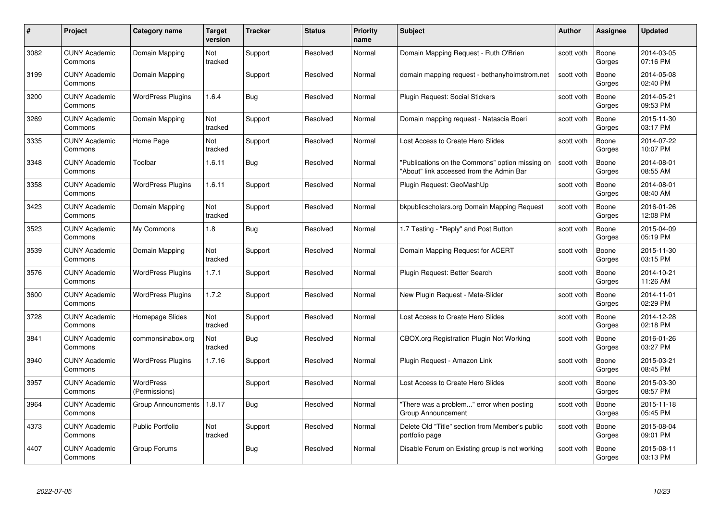| #    | Project                         | Category name                     | Target<br>version | <b>Tracker</b> | <b>Status</b> | <b>Priority</b><br>name | <b>Subject</b>                                                                              | <b>Author</b> | <b>Assignee</b> | <b>Updated</b>         |
|------|---------------------------------|-----------------------------------|-------------------|----------------|---------------|-------------------------|---------------------------------------------------------------------------------------------|---------------|-----------------|------------------------|
| 3082 | <b>CUNY Academic</b><br>Commons | Domain Mapping                    | Not<br>tracked    | Support        | Resolved      | Normal                  | Domain Mapping Request - Ruth O'Brien                                                       | scott voth    | Boone<br>Gorges | 2014-03-05<br>07:16 PM |
| 3199 | <b>CUNY Academic</b><br>Commons | Domain Mapping                    |                   | Support        | Resolved      | Normal                  | domain mapping request - bethanyholmstrom.net                                               | scott voth    | Boone<br>Gorges | 2014-05-08<br>02:40 PM |
| 3200 | <b>CUNY Academic</b><br>Commons | <b>WordPress Plugins</b>          | 1.6.4             | Bug            | Resolved      | Normal                  | Plugin Request: Social Stickers                                                             | scott voth    | Boone<br>Gorges | 2014-05-21<br>09:53 PM |
| 3269 | <b>CUNY Academic</b><br>Commons | Domain Mapping                    | Not<br>tracked    | Support        | Resolved      | Normal                  | Domain mapping request - Natascia Boeri                                                     | scott voth    | Boone<br>Gorges | 2015-11-30<br>03:17 PM |
| 3335 | <b>CUNY Academic</b><br>Commons | Home Page                         | Not<br>tracked    | Support        | Resolved      | Normal                  | Lost Access to Create Hero Slides                                                           | scott voth    | Boone<br>Gorges | 2014-07-22<br>10:07 PM |
| 3348 | <b>CUNY Academic</b><br>Commons | Toolbar                           | 1.6.11            | <b>Bug</b>     | Resolved      | Normal                  | "Publications on the Commons" option missing on<br>"About" link accessed from the Admin Bar | scott voth    | Boone<br>Gorges | 2014-08-01<br>08:55 AM |
| 3358 | <b>CUNY Academic</b><br>Commons | <b>WordPress Plugins</b>          | 1.6.11            | Support        | Resolved      | Normal                  | Plugin Request: GeoMashUp                                                                   | scott voth    | Boone<br>Gorges | 2014-08-01<br>08:40 AM |
| 3423 | <b>CUNY Academic</b><br>Commons | Domain Mapping                    | Not<br>tracked    | Support        | Resolved      | Normal                  | bkpublicscholars.org Domain Mapping Request                                                 | scott voth    | Boone<br>Gorges | 2016-01-26<br>12:08 PM |
| 3523 | <b>CUNY Academic</b><br>Commons | My Commons                        | 1.8               | Bug            | Resolved      | Normal                  | 1.7 Testing - "Reply" and Post Button                                                       | scott voth    | Boone<br>Gorges | 2015-04-09<br>05:19 PM |
| 3539 | <b>CUNY Academic</b><br>Commons | Domain Mapping                    | Not<br>tracked    | Support        | Resolved      | Normal                  | Domain Mapping Request for ACERT                                                            | scott voth    | Boone<br>Gorges | 2015-11-30<br>03:15 PM |
| 3576 | <b>CUNY Academic</b><br>Commons | <b>WordPress Plugins</b>          | 1.7.1             | Support        | Resolved      | Normal                  | Plugin Request: Better Search                                                               | scott voth    | Boone<br>Gorges | 2014-10-21<br>11:26 AM |
| 3600 | <b>CUNY Academic</b><br>Commons | <b>WordPress Plugins</b>          | 1.7.2             | Support        | Resolved      | Normal                  | New Plugin Request - Meta-Slider                                                            | scott voth    | Boone<br>Gorges | 2014-11-01<br>02:29 PM |
| 3728 | <b>CUNY Academic</b><br>Commons | Homepage Slides                   | Not<br>tracked    | Support        | Resolved      | Normal                  | Lost Access to Create Hero Slides                                                           | scott voth    | Boone<br>Gorges | 2014-12-28<br>02:18 PM |
| 3841 | <b>CUNY Academic</b><br>Commons | commonsinabox.org                 | Not<br>tracked    | Bug            | Resolved      | Normal                  | CBOX.org Registration Plugin Not Working                                                    | scott voth    | Boone<br>Gorges | 2016-01-26<br>03:27 PM |
| 3940 | <b>CUNY Academic</b><br>Commons | <b>WordPress Plugins</b>          | 1.7.16            | Support        | Resolved      | Normal                  | Plugin Request - Amazon Link                                                                | scott voth    | Boone<br>Gorges | 2015-03-21<br>08:45 PM |
| 3957 | <b>CUNY Academic</b><br>Commons | <b>WordPress</b><br>(Permissions) |                   | Support        | Resolved      | Normal                  | Lost Access to Create Hero Slides                                                           | scott voth    | Boone<br>Gorges | 2015-03-30<br>08:57 PM |
| 3964 | <b>CUNY Academic</b><br>Commons | Group Announcments                | 1.8.17            | <b>Bug</b>     | Resolved      | Normal                  | "There was a problem" error when posting<br>Group Announcement                              | scott voth    | Boone<br>Gorges | 2015-11-18<br>05:45 PM |
| 4373 | <b>CUNY Academic</b><br>Commons | Public Portfolio                  | Not<br>tracked    | Support        | Resolved      | Normal                  | Delete Old "Title" section from Member's public<br>portfolio page                           | scott voth    | Boone<br>Gorges | 2015-08-04<br>09:01 PM |
| 4407 | <b>CUNY Academic</b><br>Commons | Group Forums                      |                   | Bug            | Resolved      | Normal                  | Disable Forum on Existing group is not working                                              | scott voth    | Boone<br>Gorges | 2015-08-11<br>03:13 PM |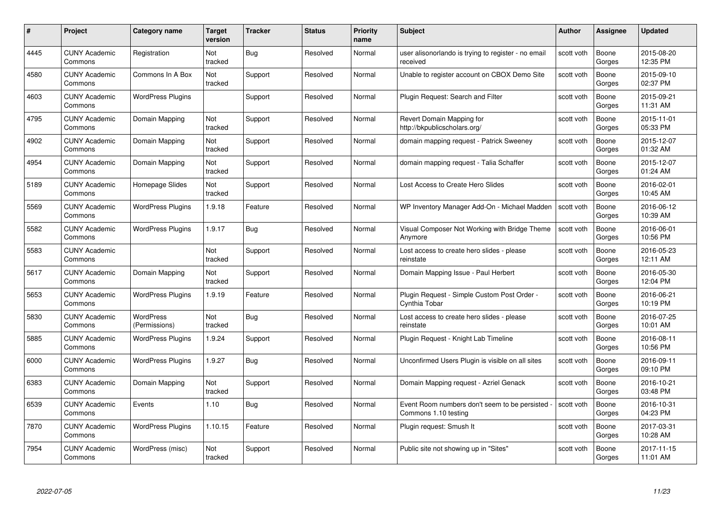| #    | Project                         | Category name              | Target<br>version | <b>Tracker</b> | <b>Status</b> | <b>Priority</b><br>name | <b>Subject</b>                                                        | Author     | <b>Assignee</b> | <b>Updated</b>         |
|------|---------------------------------|----------------------------|-------------------|----------------|---------------|-------------------------|-----------------------------------------------------------------------|------------|-----------------|------------------------|
| 4445 | <b>CUNY Academic</b><br>Commons | Registration               | Not<br>tracked    | <b>Bug</b>     | Resolved      | Normal                  | user alisonorlando is trying to register - no email<br>received       | scott voth | Boone<br>Gorges | 2015-08-20<br>12:35 PM |
| 4580 | <b>CUNY Academic</b><br>Commons | Commons In A Box           | Not<br>tracked    | Support        | Resolved      | Normal                  | Unable to register account on CBOX Demo Site                          | scott voth | Boone<br>Gorges | 2015-09-10<br>02:37 PM |
| 4603 | <b>CUNY Academic</b><br>Commons | <b>WordPress Plugins</b>   |                   | Support        | Resolved      | Normal                  | Plugin Request: Search and Filter                                     | scott voth | Boone<br>Gorges | 2015-09-21<br>11:31 AM |
| 4795 | <b>CUNY Academic</b><br>Commons | Domain Mapping             | Not<br>tracked    | Support        | Resolved      | Normal                  | Revert Domain Mapping for<br>http://bkpublicscholars.org/             | scott voth | Boone<br>Gorges | 2015-11-01<br>05:33 PM |
| 4902 | <b>CUNY Academic</b><br>Commons | Domain Mapping             | Not<br>tracked    | Support        | Resolved      | Normal                  | domain mapping request - Patrick Sweeney                              | scott voth | Boone<br>Gorges | 2015-12-07<br>01:32 AM |
| 4954 | <b>CUNY Academic</b><br>Commons | Domain Mapping             | Not<br>tracked    | Support        | Resolved      | Normal                  | domain mapping request - Talia Schaffer                               | scott voth | Boone<br>Gorges | 2015-12-07<br>01:24 AM |
| 5189 | <b>CUNY Academic</b><br>Commons | Homepage Slides            | Not<br>tracked    | Support        | Resolved      | Normal                  | Lost Access to Create Hero Slides                                     | scott voth | Boone<br>Gorges | 2016-02-01<br>10:45 AM |
| 5569 | <b>CUNY Academic</b><br>Commons | <b>WordPress Plugins</b>   | 1.9.18            | Feature        | Resolved      | Normal                  | WP Inventory Manager Add-On - Michael Madden                          | scott voth | Boone<br>Gorges | 2016-06-12<br>10:39 AM |
| 5582 | <b>CUNY Academic</b><br>Commons | <b>WordPress Plugins</b>   | 1.9.17            | Bug            | Resolved      | Normal                  | Visual Composer Not Working with Bridge Theme<br>Anymore              | scott voth | Boone<br>Gorges | 2016-06-01<br>10:56 PM |
| 5583 | <b>CUNY Academic</b><br>Commons |                            | Not<br>tracked    | Support        | Resolved      | Normal                  | Lost access to create hero slides - please<br>reinstate               | scott voth | Boone<br>Gorges | 2016-05-23<br>12:11 AM |
| 5617 | <b>CUNY Academic</b><br>Commons | Domain Mapping             | Not<br>tracked    | Support        | Resolved      | Normal                  | Domain Mapping Issue - Paul Herbert                                   | scott voth | Boone<br>Gorges | 2016-05-30<br>12:04 PM |
| 5653 | <b>CUNY Academic</b><br>Commons | <b>WordPress Plugins</b>   | 1.9.19            | Feature        | Resolved      | Normal                  | Plugin Request - Simple Custom Post Order -<br>Cynthia Tobar          | scott voth | Boone<br>Gorges | 2016-06-21<br>10:19 PM |
| 5830 | <b>CUNY Academic</b><br>Commons | WordPress<br>(Permissions) | Not<br>tracked    | <b>Bug</b>     | Resolved      | Normal                  | Lost access to create hero slides - please<br>reinstate               | scott voth | Boone<br>Gorges | 2016-07-25<br>10:01 AM |
| 5885 | <b>CUNY Academic</b><br>Commons | <b>WordPress Plugins</b>   | 1.9.24            | Support        | Resolved      | Normal                  | Plugin Request - Knight Lab Timeline                                  | scott voth | Boone<br>Gorges | 2016-08-11<br>10:56 PM |
| 6000 | <b>CUNY Academic</b><br>Commons | <b>WordPress Plugins</b>   | 1.9.27            | Bug            | Resolved      | Normal                  | Unconfirmed Users Plugin is visible on all sites                      | scott voth | Boone<br>Gorges | 2016-09-11<br>09:10 PM |
| 6383 | <b>CUNY Academic</b><br>Commons | Domain Mapping             | Not<br>tracked    | Support        | Resolved      | Normal                  | Domain Mapping request - Azriel Genack                                | scott voth | Boone<br>Gorges | 2016-10-21<br>03:48 PM |
| 6539 | <b>CUNY Academic</b><br>Commons | Events                     | 1.10              | <b>Bug</b>     | Resolved      | Normal                  | Event Room numbers don't seem to be persisted<br>Commons 1.10 testing | scott voth | Boone<br>Gorges | 2016-10-31<br>04:23 PM |
| 7870 | <b>CUNY Academic</b><br>Commons | <b>WordPress Plugins</b>   | 1.10.15           | Feature        | Resolved      | Normal                  | Plugin request: Smush It                                              | scott voth | Boone<br>Gorges | 2017-03-31<br>10:28 AM |
| 7954 | <b>CUNY Academic</b><br>Commons | WordPress (misc)           | Not<br>tracked    | Support        | Resolved      | Normal                  | Public site not showing up in "Sites"                                 | scott voth | Boone<br>Gorges | 2017-11-15<br>11:01 AM |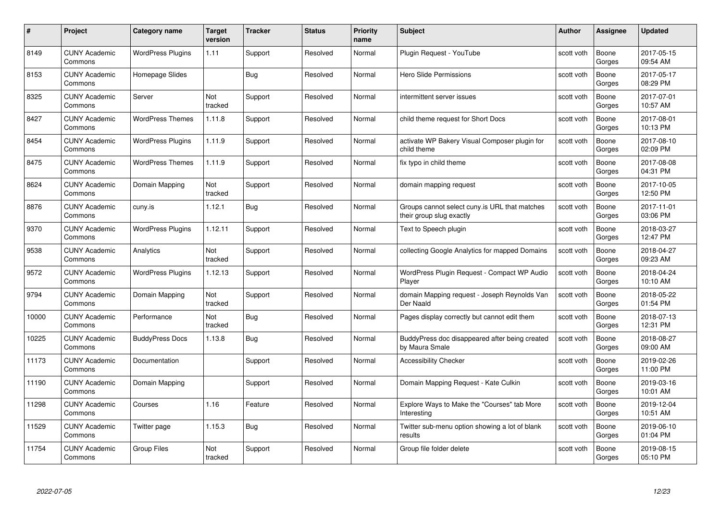| #     | Project                         | <b>Category name</b>     | Target<br>version | <b>Tracker</b> | <b>Status</b> | <b>Priority</b><br>name | <b>Subject</b>                                                            | <b>Author</b> | <b>Assignee</b> | <b>Updated</b>         |
|-------|---------------------------------|--------------------------|-------------------|----------------|---------------|-------------------------|---------------------------------------------------------------------------|---------------|-----------------|------------------------|
| 8149  | <b>CUNY Academic</b><br>Commons | <b>WordPress Plugins</b> | 1.11              | Support        | Resolved      | Normal                  | Plugin Reguest - YouTube                                                  | scott voth    | Boone<br>Gorges | 2017-05-15<br>09:54 AM |
| 8153  | <b>CUNY Academic</b><br>Commons | Homepage Slides          |                   | Bug            | Resolved      | Normal                  | Hero Slide Permissions                                                    | scott voth    | Boone<br>Gorges | 2017-05-17<br>08:29 PM |
| 8325  | <b>CUNY Academic</b><br>Commons | Server                   | Not<br>tracked    | Support        | Resolved      | Normal                  | intermittent server issues                                                | scott voth    | Boone<br>Gorges | 2017-07-01<br>10:57 AM |
| 8427  | <b>CUNY Academic</b><br>Commons | <b>WordPress Themes</b>  | 1.11.8            | Support        | Resolved      | Normal                  | child theme request for Short Docs                                        | scott voth    | Boone<br>Gorges | 2017-08-01<br>10:13 PM |
| 8454  | <b>CUNY Academic</b><br>Commons | <b>WordPress Plugins</b> | 1.11.9            | Support        | Resolved      | Normal                  | activate WP Bakery Visual Composer plugin for<br>child theme              | scott voth    | Boone<br>Gorges | 2017-08-10<br>02:09 PM |
| 8475  | <b>CUNY Academic</b><br>Commons | <b>WordPress Themes</b>  | 1.11.9            | Support        | Resolved      | Normal                  | fix typo in child theme                                                   | scott voth    | Boone<br>Gorges | 2017-08-08<br>04:31 PM |
| 8624  | <b>CUNY Academic</b><br>Commons | Domain Mapping           | Not<br>tracked    | Support        | Resolved      | Normal                  | domain mapping request                                                    | scott voth    | Boone<br>Gorges | 2017-10-05<br>12:50 PM |
| 8876  | <b>CUNY Academic</b><br>Commons | cuny.is                  | 1.12.1            | Bug            | Resolved      | Normal                  | Groups cannot select cuny is URL that matches<br>their group slug exactly | scott voth    | Boone<br>Gorges | 2017-11-01<br>03:06 PM |
| 9370  | CUNY Academic<br>Commons        | <b>WordPress Plugins</b> | 1.12.11           | Support        | Resolved      | Normal                  | Text to Speech plugin                                                     | scott voth    | Boone<br>Gorges | 2018-03-27<br>12:47 PM |
| 9538  | <b>CUNY Academic</b><br>Commons | Analytics                | Not<br>tracked    | Support        | Resolved      | Normal                  | collecting Google Analytics for mapped Domains                            | scott voth    | Boone<br>Gorges | 2018-04-27<br>09:23 AM |
| 9572  | CUNY Academic<br>Commons        | <b>WordPress Plugins</b> | 1.12.13           | Support        | Resolved      | Normal                  | WordPress Plugin Request - Compact WP Audio<br>Player                     | scott voth    | Boone<br>Gorges | 2018-04-24<br>10:10 AM |
| 9794  | <b>CUNY Academic</b><br>Commons | Domain Mapping           | Not<br>tracked    | Support        | Resolved      | Normal                  | domain Mapping request - Joseph Reynolds Van<br>Der Naald                 | scott voth    | Boone<br>Gorges | 2018-05-22<br>01:54 PM |
| 10000 | <b>CUNY Academic</b><br>Commons | Performance              | Not<br>tracked    | <b>Bug</b>     | Resolved      | Normal                  | Pages display correctly but cannot edit them                              | scott voth    | Boone<br>Gorges | 2018-07-13<br>12:31 PM |
| 10225 | <b>CUNY Academic</b><br>Commons | <b>BuddyPress Docs</b>   | 1.13.8            | Bug            | Resolved      | Normal                  | BuddyPress doc disappeared after being created<br>by Maura Smale          | scott voth    | Boone<br>Gorges | 2018-08-27<br>09:00 AM |
| 11173 | <b>CUNY Academic</b><br>Commons | Documentation            |                   | Support        | Resolved      | Normal                  | <b>Accessibility Checker</b>                                              | scott voth    | Boone<br>Gorges | 2019-02-26<br>11:00 PM |
| 11190 | <b>CUNY Academic</b><br>Commons | Domain Mapping           |                   | Support        | Resolved      | Normal                  | Domain Mapping Request - Kate Culkin                                      | scott voth    | Boone<br>Gorges | 2019-03-16<br>10:01 AM |
| 11298 | <b>CUNY Academic</b><br>Commons | Courses                  | 1.16              | Feature        | Resolved      | Normal                  | Explore Ways to Make the "Courses" tab More<br>Interesting                | scott voth    | Boone<br>Gorges | 2019-12-04<br>10:51 AM |
| 11529 | <b>CUNY Academic</b><br>Commons | Twitter page             | 1.15.3            | <b>Bug</b>     | Resolved      | Normal                  | Twitter sub-menu option showing a lot of blank<br>results                 | scott voth    | Boone<br>Gorges | 2019-06-10<br>01:04 PM |
| 11754 | <b>CUNY Academic</b><br>Commons | <b>Group Files</b>       | Not<br>tracked    | Support        | Resolved      | Normal                  | Group file folder delete                                                  | scott voth    | Boone<br>Gorges | 2019-08-15<br>05:10 PM |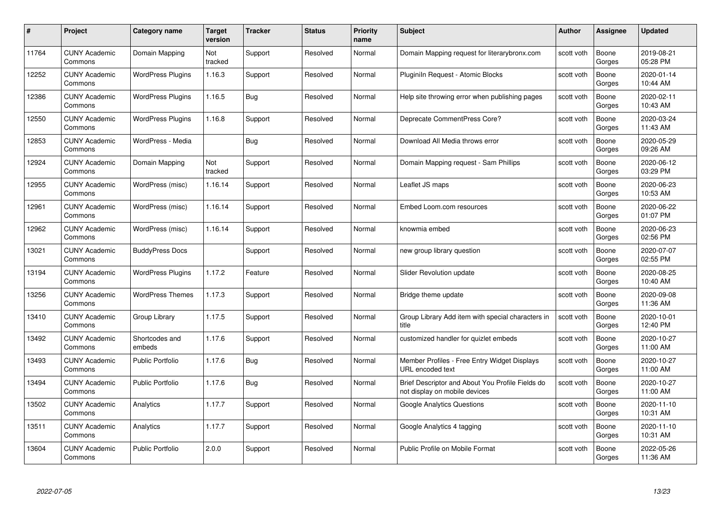| #     | Project                         | <b>Category name</b>     | Target<br>version | <b>Tracker</b> | <b>Status</b> | <b>Priority</b><br>name | <b>Subject</b>                                                                    | <b>Author</b> | Assignee        | <b>Updated</b>         |
|-------|---------------------------------|--------------------------|-------------------|----------------|---------------|-------------------------|-----------------------------------------------------------------------------------|---------------|-----------------|------------------------|
| 11764 | <b>CUNY Academic</b><br>Commons | Domain Mapping           | Not<br>tracked    | Support        | Resolved      | Normal                  | Domain Mapping request for literarybronx.com                                      | scott voth    | Boone<br>Gorges | 2019-08-21<br>05:28 PM |
| 12252 | <b>CUNY Academic</b><br>Commons | <b>WordPress Plugins</b> | 1.16.3            | Support        | Resolved      | Normal                  | Pluginiln Request - Atomic Blocks                                                 | scott voth    | Boone<br>Gorges | 2020-01-14<br>10:44 AM |
| 12386 | <b>CUNY Academic</b><br>Commons | <b>WordPress Plugins</b> | 1.16.5            | <b>Bug</b>     | Resolved      | Normal                  | Help site throwing error when publishing pages                                    | scott voth    | Boone<br>Gorges | 2020-02-11<br>10:43 AM |
| 12550 | <b>CUNY Academic</b><br>Commons | <b>WordPress Plugins</b> | 1.16.8            | Support        | Resolved      | Normal                  | Deprecate CommentPress Core?                                                      | scott voth    | Boone<br>Gorges | 2020-03-24<br>11:43 AM |
| 12853 | <b>CUNY Academic</b><br>Commons | WordPress - Media        |                   | Bug            | Resolved      | Normal                  | Download All Media throws error                                                   | scott voth    | Boone<br>Gorges | 2020-05-29<br>09:26 AM |
| 12924 | <b>CUNY Academic</b><br>Commons | Domain Mapping           | Not<br>tracked    | Support        | Resolved      | Normal                  | Domain Mapping request - Sam Phillips                                             | scott voth    | Boone<br>Gorges | 2020-06-12<br>03:29 PM |
| 12955 | <b>CUNY Academic</b><br>Commons | WordPress (misc)         | 1.16.14           | Support        | Resolved      | Normal                  | Leaflet JS maps                                                                   | scott voth    | Boone<br>Gorges | 2020-06-23<br>10:53 AM |
| 12961 | <b>CUNY Academic</b><br>Commons | WordPress (misc)         | 1.16.14           | Support        | Resolved      | Normal                  | Embed Loom.com resources                                                          | scott voth    | Boone<br>Gorges | 2020-06-22<br>01:07 PM |
| 12962 | <b>CUNY Academic</b><br>Commons | WordPress (misc)         | 1.16.14           | Support        | Resolved      | Normal                  | knowmia embed                                                                     | scott voth    | Boone<br>Gorges | 2020-06-23<br>02:56 PM |
| 13021 | <b>CUNY Academic</b><br>Commons | <b>BuddyPress Docs</b>   |                   | Support        | Resolved      | Normal                  | new group library question                                                        | scott voth    | Boone<br>Gorges | 2020-07-07<br>02:55 PM |
| 13194 | CUNY Academic<br>Commons        | <b>WordPress Plugins</b> | 1.17.2            | Feature        | Resolved      | Normal                  | <b>Slider Revolution update</b>                                                   | scott voth    | Boone<br>Gorges | 2020-08-25<br>10:40 AM |
| 13256 | <b>CUNY Academic</b><br>Commons | <b>WordPress Themes</b>  | 1.17.3            | Support        | Resolved      | Normal                  | Bridge theme update                                                               | scott voth    | Boone<br>Gorges | 2020-09-08<br>11:36 AM |
| 13410 | <b>CUNY Academic</b><br>Commons | Group Library            | 1.17.5            | Support        | Resolved      | Normal                  | Group Library Add item with special characters in<br>title                        | scott voth    | Boone<br>Gorges | 2020-10-01<br>12:40 PM |
| 13492 | <b>CUNY Academic</b><br>Commons | Shortcodes and<br>embeds | 1.17.6            | Support        | Resolved      | Normal                  | customized handler for quizlet embeds                                             | scott voth    | Boone<br>Gorges | 2020-10-27<br>11:00 AM |
| 13493 | <b>CUNY Academic</b><br>Commons | Public Portfolio         | 1.17.6            | Bug            | Resolved      | Normal                  | Member Profiles - Free Entry Widget Displays<br>URL encoded text                  | scott voth    | Boone<br>Gorges | 2020-10-27<br>11:00 AM |
| 13494 | <b>CUNY Academic</b><br>Commons | <b>Public Portfolio</b>  | 1.17.6            | Bug            | Resolved      | Normal                  | Brief Descriptor and About You Profile Fields do<br>not display on mobile devices | scott voth    | Boone<br>Gorges | 2020-10-27<br>11:00 AM |
| 13502 | <b>CUNY Academic</b><br>Commons | Analytics                | 1.17.7            | Support        | Resolved      | Normal                  | <b>Google Analytics Questions</b>                                                 | scott voth    | Boone<br>Gorges | 2020-11-10<br>10:31 AM |
| 13511 | <b>CUNY Academic</b><br>Commons | Analytics                | 1.17.7            | Support        | Resolved      | Normal                  | Google Analytics 4 tagging                                                        | scott voth    | Boone<br>Gorges | 2020-11-10<br>10:31 AM |
| 13604 | CUNY Academic<br>Commons        | <b>Public Portfolio</b>  | 2.0.0             | Support        | Resolved      | Normal                  | Public Profile on Mobile Format                                                   | scott voth    | Boone<br>Gorges | 2022-05-26<br>11:36 AM |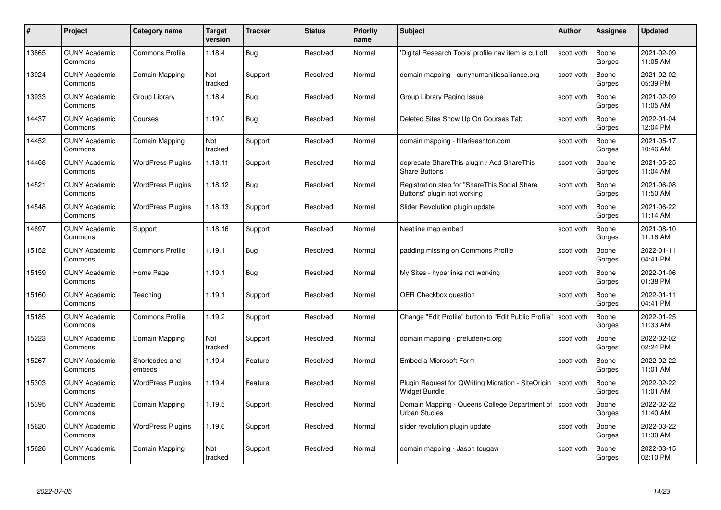| #     | Project                         | <b>Category name</b>     | Target<br>version     | <b>Tracker</b> | <b>Status</b> | <b>Priority</b><br>name | <b>Subject</b>                                                                   | <b>Author</b> | <b>Assignee</b> | <b>Updated</b>         |
|-------|---------------------------------|--------------------------|-----------------------|----------------|---------------|-------------------------|----------------------------------------------------------------------------------|---------------|-----------------|------------------------|
| 13865 | <b>CUNY Academic</b><br>Commons | <b>Commons Profile</b>   | 1.18.4                | <b>Bug</b>     | Resolved      | Normal                  | 'Digital Research Tools' profile nav item is cut off                             | scott voth    | Boone<br>Gorges | 2021-02-09<br>11:05 AM |
| 13924 | <b>CUNY Academic</b><br>Commons | Domain Mapping           | Not<br>tracked        | Support        | Resolved      | Normal                  | domain mapping - cunyhumanitiesalliance.org                                      | scott voth    | Boone<br>Gorges | 2021-02-02<br>05:39 PM |
| 13933 | <b>CUNY Academic</b><br>Commons | Group Library            | 1.18.4                | Bug            | Resolved      | Normal                  | Group Library Paging Issue                                                       | scott voth    | Boone<br>Gorges | 2021-02-09<br>11:05 AM |
| 14437 | <b>CUNY Academic</b><br>Commons | Courses                  | 1.19.0                | Bug            | Resolved      | Normal                  | Deleted Sites Show Up On Courses Tab                                             | scott voth    | Boone<br>Gorges | 2022-01-04<br>12:04 PM |
| 14452 | <b>CUNY Academic</b><br>Commons | Domain Mapping           | <b>Not</b><br>tracked | Support        | Resolved      | Normal                  | domain mapping - hilarieashton.com                                               | scott voth    | Boone<br>Gorges | 2021-05-17<br>10:46 AM |
| 14468 | <b>CUNY Academic</b><br>Commons | <b>WordPress Plugins</b> | 1.18.11               | Support        | Resolved      | Normal                  | deprecate ShareThis plugin / Add ShareThis<br><b>Share Buttons</b>               | scott voth    | Boone<br>Gorges | 2021-05-25<br>11:04 AM |
| 14521 | <b>CUNY Academic</b><br>Commons | <b>WordPress Plugins</b> | 1.18.12               | Bug            | Resolved      | Normal                  | Registration step for "ShareThis Social Share<br>Buttons" plugin not working     | scott voth    | Boone<br>Gorges | 2021-06-08<br>11:50 AM |
| 14548 | <b>CUNY Academic</b><br>Commons | <b>WordPress Plugins</b> | 1.18.13               | Support        | Resolved      | Normal                  | Slider Revolution plugin update                                                  | scott voth    | Boone<br>Gorges | 2021-06-22<br>11:14 AM |
| 14697 | <b>CUNY Academic</b><br>Commons | Support                  | 1.18.16               | Support        | Resolved      | Normal                  | Neatline map embed                                                               | scott voth    | Boone<br>Gorges | 2021-08-10<br>11:16 AM |
| 15152 | <b>CUNY Academic</b><br>Commons | <b>Commons Profile</b>   | 1.19.1                | Bug            | Resolved      | Normal                  | padding missing on Commons Profile                                               | scott voth    | Boone<br>Gorges | 2022-01-11<br>04:41 PM |
| 15159 | <b>CUNY Academic</b><br>Commons | Home Page                | 1.19.1                | Bug            | Resolved      | Normal                  | My Sites - hyperlinks not working                                                | scott voth    | Boone<br>Gorges | 2022-01-06<br>01:38 PM |
| 15160 | <b>CUNY Academic</b><br>Commons | Teaching                 | 1.19.1                | Support        | Resolved      | Normal                  | <b>OER Checkbox question</b>                                                     | scott voth    | Boone<br>Gorges | 2022-01-11<br>04:41 PM |
| 15185 | <b>CUNY Academic</b><br>Commons | <b>Commons Profile</b>   | 1.19.2                | Support        | Resolved      | Normal                  | Change "Edit Profile" button to "Edit Public Profile"                            | scott voth    | Boone<br>Gorges | 2022-01-25<br>11:33 AM |
| 15223 | <b>CUNY Academic</b><br>Commons | Domain Mapping           | Not<br>tracked        | Support        | Resolved      | Normal                  | domain mapping - preludenyc.org                                                  | scott voth    | Boone<br>Gorges | 2022-02-02<br>02:24 PM |
| 15267 | <b>CUNY Academic</b><br>Commons | Shortcodes and<br>embeds | 1.19.4                | Feature        | Resolved      | Normal                  | Embed a Microsoft Form                                                           | scott voth    | Boone<br>Gorges | 2022-02-22<br>11:01 AM |
| 15303 | <b>CUNY Academic</b><br>Commons | <b>WordPress Plugins</b> | 1.19.4                | Feature        | Resolved      | Normal                  | Plugin Request for QWriting Migration - SiteOrigin<br><b>Widget Bundle</b>       | scott voth    | Boone<br>Gorges | 2022-02-22<br>11:01 AM |
| 15395 | <b>CUNY Academic</b><br>Commons | Domain Mapping           | 1.19.5                | Support        | Resolved      | Normal                  | Domain Mapping - Queens College Department of Scott voth<br><b>Urban Studies</b> |               | Boone<br>Gorges | 2022-02-22<br>11:40 AM |
| 15620 | <b>CUNY Academic</b><br>Commons | <b>WordPress Plugins</b> | 1.19.6                | Support        | Resolved      | Normal                  | slider revolution plugin update                                                  | scott voth    | Boone<br>Gorges | 2022-03-22<br>11:30 AM |
| 15626 | CUNY Academic<br>Commons        | Domain Mapping           | Not<br>tracked        | Support        | Resolved      | Normal                  | domain mapping - Jason tougaw                                                    | scott voth    | Boone<br>Gorges | 2022-03-15<br>02:10 PM |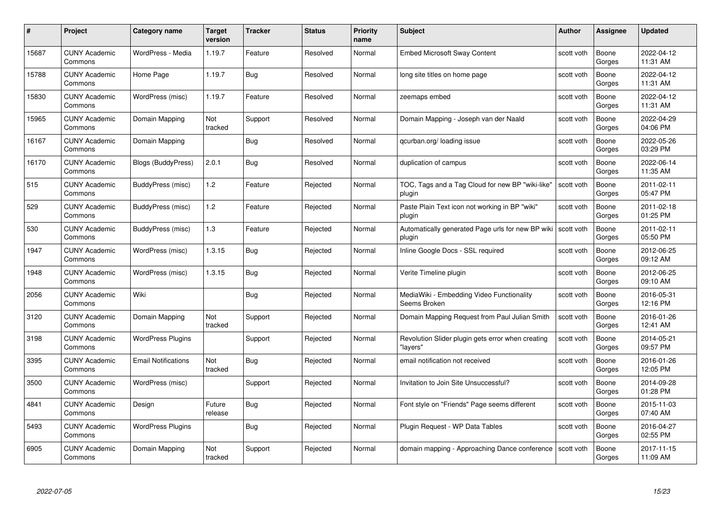| #     | Project                         | <b>Category name</b>       | Target<br>version | <b>Tracker</b> | <b>Status</b> | <b>Priority</b><br>name | <b>Subject</b>                                                         | <b>Author</b> | <b>Assignee</b> | <b>Updated</b>         |
|-------|---------------------------------|----------------------------|-------------------|----------------|---------------|-------------------------|------------------------------------------------------------------------|---------------|-----------------|------------------------|
| 15687 | <b>CUNY Academic</b><br>Commons | WordPress - Media          | 1.19.7            | Feature        | Resolved      | Normal                  | <b>Embed Microsoft Sway Content</b>                                    | scott voth    | Boone<br>Gorges | 2022-04-12<br>11:31 AM |
| 15788 | <b>CUNY Academic</b><br>Commons | Home Page                  | 1.19.7            | Bug            | Resolved      | Normal                  | long site titles on home page                                          | scott voth    | Boone<br>Gorges | 2022-04-12<br>11:31 AM |
| 15830 | <b>CUNY Academic</b><br>Commons | WordPress (misc)           | 1.19.7            | Feature        | Resolved      | Normal                  | zeemaps embed                                                          | scott voth    | Boone<br>Gorges | 2022-04-12<br>11:31 AM |
| 15965 | <b>CUNY Academic</b><br>Commons | Domain Mapping             | Not<br>tracked    | Support        | Resolved      | Normal                  | Domain Mapping - Joseph van der Naald                                  | scott voth    | Boone<br>Gorges | 2022-04-29<br>04:06 PM |
| 16167 | <b>CUNY Academic</b><br>Commons | Domain Mapping             |                   | Bug            | Resolved      | Normal                  | qcurban.org/loading issue                                              | scott voth    | Boone<br>Gorges | 2022-05-26<br>03:29 PM |
| 16170 | <b>CUNY Academic</b><br>Commons | <b>Blogs (BuddyPress)</b>  | 2.0.1             | Bug            | Resolved      | Normal                  | duplication of campus                                                  | scott voth    | Boone<br>Gorges | 2022-06-14<br>11:35 AM |
| 515   | <b>CUNY Academic</b><br>Commons | BuddyPress (misc)          | 1.2               | Feature        | Rejected      | Normal                  | TOC, Tags and a Tag Cloud for new BP "wiki-like"<br>plugin             | scott voth    | Boone<br>Gorges | 2011-02-11<br>05:47 PM |
| 529   | <b>CUNY Academic</b><br>Commons | BuddyPress (misc)          | 1.2               | Feature        | Rejected      | Normal                  | Paste Plain Text icon not working in BP "wiki"<br>plugin               | scott voth    | Boone<br>Gorges | 2011-02-18<br>01:25 PM |
| 530   | <b>CUNY Academic</b><br>Commons | BuddyPress (misc)          | $1.3$             | Feature        | Rejected      | Normal                  | Automatically generated Page urls for new BP wiki scott voth<br>plugin |               | Boone<br>Gorges | 2011-02-11<br>05:50 PM |
| 1947  | <b>CUNY Academic</b><br>Commons | WordPress (misc)           | 1.3.15            | Bug            | Rejected      | Normal                  | Inline Google Docs - SSL required                                      | scott voth    | Boone<br>Gorges | 2012-06-25<br>09:12 AM |
| 1948  | CUNY Academic<br>Commons        | WordPress (misc)           | 1.3.15            | Bug            | Rejected      | Normal                  | Verite Timeline plugin                                                 | scott voth    | Boone<br>Gorges | 2012-06-25<br>09:10 AM |
| 2056  | <b>CUNY Academic</b><br>Commons | Wiki                       |                   | Bug            | Rejected      | Normal                  | MediaWiki - Embedding Video Functionality<br>Seems Broken              | scott voth    | Boone<br>Gorges | 2016-05-31<br>12:16 PM |
| 3120  | <b>CUNY Academic</b><br>Commons | Domain Mapping             | Not<br>tracked    | Support        | Rejected      | Normal                  | Domain Mapping Request from Paul Julian Smith                          | scott voth    | Boone<br>Gorges | 2016-01-26<br>12:41 AM |
| 3198  | <b>CUNY Academic</b><br>Commons | <b>WordPress Plugins</b>   |                   | Support        | Rejected      | Normal                  | Revolution Slider plugin gets error when creating<br>"lavers'          | scott voth    | Boone<br>Gorges | 2014-05-21<br>09:57 PM |
| 3395  | <b>CUNY Academic</b><br>Commons | <b>Email Notifications</b> | Not<br>tracked    | Bug            | Rejected      | Normal                  | email notification not received                                        | scott voth    | Boone<br>Gorges | 2016-01-26<br>12:05 PM |
| 3500  | <b>CUNY Academic</b><br>Commons | WordPress (misc)           |                   | Support        | Rejected      | Normal                  | Invitation to Join Site Unsuccessful?                                  | scott voth    | Boone<br>Gorges | 2014-09-28<br>01:28 PM |
| 4841  | <b>CUNY Academic</b><br>Commons | Design                     | Future<br>release | Bug            | Rejected      | Normal                  | Font style on "Friends" Page seems different                           | scott voth    | Boone<br>Gorges | 2015-11-03<br>07:40 AM |
| 5493  | <b>CUNY Academic</b><br>Commons | <b>WordPress Plugins</b>   |                   | <b>Bug</b>     | Rejected      | Normal                  | Plugin Request - WP Data Tables                                        | scott voth    | Boone<br>Gorges | 2016-04-27<br>02:55 PM |
| 6905  | CUNY Academic<br>Commons        | Domain Mapping             | Not<br>tracked    | Support        | Rejected      | Normal                  | domain mapping - Approaching Dance conference                          | scott voth    | Boone<br>Gorges | 2017-11-15<br>11:09 AM |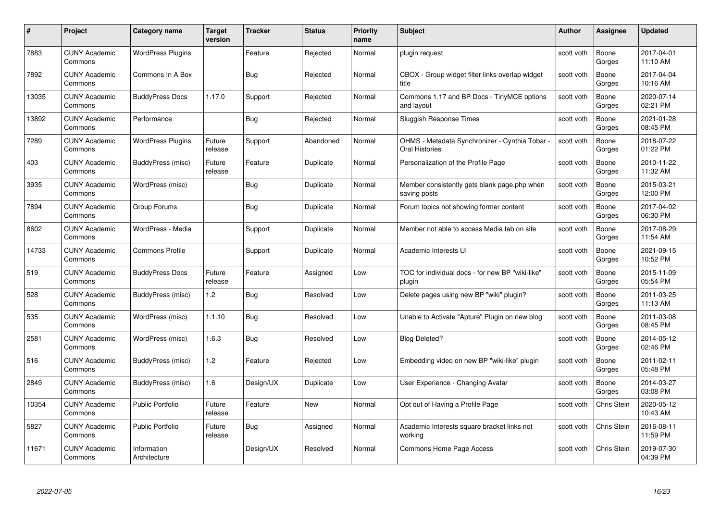| #     | Project                         | <b>Category name</b>        | Target<br>version | <b>Tracker</b> | <b>Status</b> | <b>Priority</b><br>name | <b>Subject</b>                                                          | Author     | Assignee        | <b>Updated</b>         |
|-------|---------------------------------|-----------------------------|-------------------|----------------|---------------|-------------------------|-------------------------------------------------------------------------|------------|-----------------|------------------------|
| 7883  | <b>CUNY Academic</b><br>Commons | <b>WordPress Plugins</b>    |                   | Feature        | Rejected      | Normal                  | plugin request                                                          | scott voth | Boone<br>Gorges | 2017-04-01<br>11:10 AM |
| 7892  | <b>CUNY Academic</b><br>Commons | Commons In A Box            |                   | <b>Bug</b>     | Rejected      | Normal                  | CBOX - Group widget filter links overlap widget<br>title                | scott voth | Boone<br>Gorges | 2017-04-04<br>10:16 AM |
| 13035 | <b>CUNY Academic</b><br>Commons | <b>BuddyPress Docs</b>      | 1.17.0            | Support        | Rejected      | Normal                  | Commons 1.17 and BP Docs - TinyMCE options<br>and layout                | scott voth | Boone<br>Gorges | 2020-07-14<br>02:21 PM |
| 13892 | <b>CUNY Academic</b><br>Commons | Performance                 |                   | <b>Bug</b>     | Rejected      | Normal                  | Sluggish Response Times                                                 | scott voth | Boone<br>Gorges | 2021-01-28<br>08:45 PM |
| 7289  | <b>CUNY Academic</b><br>Commons | <b>WordPress Plugins</b>    | Future<br>release | Support        | Abandoned     | Normal                  | OHMS - Metadata Synchronizer - Cynthia Tobar -<br><b>Oral Histories</b> | scott voth | Boone<br>Gorges | 2018-07-22<br>01:22 PM |
| 403   | <b>CUNY Academic</b><br>Commons | BuddyPress (misc)           | Future<br>release | Feature        | Duplicate     | Normal                  | Personalization of the Profile Page                                     | scott voth | Boone<br>Gorges | 2010-11-22<br>11:32 AM |
| 3935  | <b>CUNY Academic</b><br>Commons | WordPress (misc)            |                   | <b>Bug</b>     | Duplicate     | Normal                  | Member consistently gets blank page.php when<br>saving posts            | scott voth | Boone<br>Gorges | 2015-03-21<br>12:00 PM |
| 7894  | <b>CUNY Academic</b><br>Commons | Group Forums                |                   | <b>Bug</b>     | Duplicate     | Normal                  | Forum topics not showing former content                                 | scott voth | Boone<br>Gorges | 2017-04-02<br>06:30 PM |
| 8602  | <b>CUNY Academic</b><br>Commons | WordPress - Media           |                   | Support        | Duplicate     | Normal                  | Member not able to access Media tab on site                             | scott voth | Boone<br>Gorges | 2017-08-29<br>11:54 AM |
| 14733 | <b>CUNY Academic</b><br>Commons | Commons Profile             |                   | Support        | Duplicate     | Normal                  | Academic Interests UI                                                   | scott voth | Boone<br>Gorges | 2021-09-15<br>10:52 PM |
| 519   | <b>CUNY Academic</b><br>Commons | <b>BuddyPress Docs</b>      | Future<br>release | Feature        | Assigned      | Low                     | TOC for individual docs - for new BP "wiki-like"<br>plugin              | scott voth | Boone<br>Gorges | 2015-11-09<br>05:54 PM |
| 528   | <b>CUNY Academic</b><br>Commons | BuddyPress (misc)           | 1.2               | <b>Bug</b>     | Resolved      | Low                     | Delete pages using new BP "wiki" plugin?                                | scott voth | Boone<br>Gorges | 2011-03-25<br>11:13 AM |
| 535   | <b>CUNY Academic</b><br>Commons | WordPress (misc)            | 1.1.10            | Bug            | Resolved      | Low                     | Unable to Activate "Apture" Plugin on new blog                          | scott voth | Boone<br>Gorges | 2011-03-08<br>08:45 PM |
| 2581  | <b>CUNY Academic</b><br>Commons | WordPress (misc)            | 1.6.3             | <b>Bug</b>     | Resolved      | Low                     | <b>Blog Deleted?</b>                                                    | scott voth | Boone<br>Gorges | 2014-05-12<br>02:46 PM |
| 516   | <b>CUNY Academic</b><br>Commons | BuddyPress (misc)           | 1.2               | Feature        | Rejected      | Low                     | Embedding video on new BP "wiki-like" plugin                            | scott voth | Boone<br>Gorges | 2011-02-11<br>05:48 PM |
| 2849  | <b>CUNY Academic</b><br>Commons | BuddyPress (misc)           | 1.6               | Design/UX      | Duplicate     | Low                     | User Experience - Changing Avatar                                       | scott voth | Boone<br>Gorges | 2014-03-27<br>03:08 PM |
| 10354 | <b>CUNY Academic</b><br>Commons | <b>Public Portfolio</b>     | Future<br>release | Feature        | New           | Normal                  | Opt out of Having a Profile Page                                        | scott voth | Chris Stein     | 2020-05-12<br>10:43 AM |
| 5827  | <b>CUNY Academic</b><br>Commons | <b>Public Portfolio</b>     | Future<br>release | <b>Bug</b>     | Assigned      | Normal                  | Academic Interests square bracket links not<br>working                  | scott voth | Chris Stein     | 2016-08-11<br>11:59 PM |
| 11671 | <b>CUNY Academic</b><br>Commons | Information<br>Architecture |                   | Design/UX      | Resolved      | Normal                  | Commons Home Page Access                                                | scott voth | Chris Stein     | 2019-07-30<br>04:39 PM |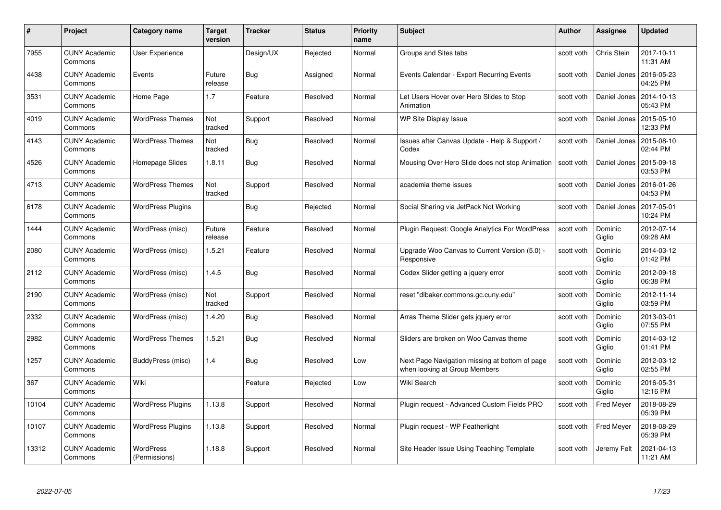| #     | Project                         | Category name                     | Target<br>version | <b>Tracker</b> | <b>Status</b> | <b>Priority</b><br>name | <b>Subject</b>                                                                  | Author     | <b>Assignee</b>   | <b>Updated</b>         |
|-------|---------------------------------|-----------------------------------|-------------------|----------------|---------------|-------------------------|---------------------------------------------------------------------------------|------------|-------------------|------------------------|
| 7955  | <b>CUNY Academic</b><br>Commons | <b>User Experience</b>            |                   | Design/UX      | Rejected      | Normal                  | Groups and Sites tabs                                                           | scott voth | Chris Stein       | 2017-10-11<br>11:31 AM |
| 4438  | <b>CUNY Academic</b><br>Commons | Events                            | Future<br>release | Bug            | Assigned      | Normal                  | Events Calendar - Export Recurring Events                                       | scott voth | Daniel Jones      | 2016-05-23<br>04:25 PM |
| 3531  | <b>CUNY Academic</b><br>Commons | Home Page                         | 1.7               | Feature        | Resolved      | Normal                  | Let Users Hover over Hero Slides to Stop<br>Animation                           | scott voth | Daniel Jones      | 2014-10-13<br>05:43 PM |
| 4019  | <b>CUNY Academic</b><br>Commons | <b>WordPress Themes</b>           | Not<br>tracked    | Support        | Resolved      | Normal                  | WP Site Display Issue                                                           | scott voth | Daniel Jones      | 2015-05-10<br>12:33 PM |
| 4143  | <b>CUNY Academic</b><br>Commons | <b>WordPress Themes</b>           | Not<br>tracked    | Bug            | Resolved      | Normal                  | Issues after Canvas Update - Help & Support /<br>Codex                          | scott voth | Daniel Jones      | 2015-08-10<br>02:44 PM |
| 4526  | <b>CUNY Academic</b><br>Commons | Homepage Slides                   | 1.8.11            | Bug            | Resolved      | Normal                  | Mousing Over Hero Slide does not stop Animation                                 | scott voth | Daniel Jones      | 2015-09-18<br>03:53 PM |
| 4713  | <b>CUNY Academic</b><br>Commons | <b>WordPress Themes</b>           | Not<br>tracked    | Support        | Resolved      | Normal                  | academia theme issues                                                           | scott voth | Daniel Jones      | 2016-01-26<br>04:53 PM |
| 6178  | <b>CUNY Academic</b><br>Commons | <b>WordPress Plugins</b>          |                   | Bug            | Rejected      | Normal                  | Social Sharing via JetPack Not Working                                          | scott voth | Daniel Jones      | 2017-05-01<br>10:24 PM |
| 1444  | <b>CUNY Academic</b><br>Commons | WordPress (misc)                  | Future<br>release | Feature        | Resolved      | Normal                  | Plugin Request: Google Analytics For WordPress                                  | scott voth | Dominic<br>Giglio | 2012-07-14<br>09:28 AM |
| 2080  | <b>CUNY Academic</b><br>Commons | WordPress (misc)                  | 1.5.21            | Feature        | Resolved      | Normal                  | Upgrade Woo Canvas to Current Version (5.0) -<br>Responsive                     | scott voth | Dominic<br>Giglio | 2014-03-12<br>01:42 PM |
| 2112  | <b>CUNY Academic</b><br>Commons | WordPress (misc)                  | 1.4.5             | <b>Bug</b>     | Resolved      | Normal                  | Codex Slider getting a jquery error                                             | scott voth | Dominic<br>Giglio | 2012-09-18<br>06:38 PM |
| 2190  | <b>CUNY Academic</b><br>Commons | WordPress (misc)                  | Not<br>tracked    | Support        | Resolved      | Normal                  | reset "dlbaker.commons.gc.cuny.edu"                                             | scott voth | Dominic<br>Giglio | 2012-11-14<br>03:59 PM |
| 2332  | <b>CUNY Academic</b><br>Commons | WordPress (misc)                  | 1.4.20            | <b>Bug</b>     | Resolved      | Normal                  | Arras Theme Slider gets jquery error                                            | scott voth | Dominic<br>Giglio | 2013-03-01<br>07:55 PM |
| 2982  | <b>CUNY Academic</b><br>Commons | <b>WordPress Themes</b>           | 1.5.21            | Bug            | Resolved      | Normal                  | Sliders are broken on Woo Canvas theme                                          | scott voth | Dominic<br>Giglio | 2014-03-12<br>01:41 PM |
| 1257  | <b>CUNY Academic</b><br>Commons | BuddyPress (misc)                 | 1.4               | Bug            | Resolved      | Low                     | Next Page Navigation missing at bottom of page<br>when looking at Group Members | scott voth | Dominic<br>Giglio | 2012-03-12<br>02:55 PM |
| 367   | <b>CUNY Academic</b><br>Commons | Wiki                              |                   | Feature        | Rejected      | Low                     | Wiki Search                                                                     | scott voth | Dominic<br>Giglio | 2016-05-31<br>12:16 PM |
| 10104 | <b>CUNY Academic</b><br>Commons | <b>WordPress Plugins</b>          | 1.13.8            | Support        | Resolved      | Normal                  | Plugin request - Advanced Custom Fields PRO                                     | scott voth | <b>Fred Meyer</b> | 2018-08-29<br>05:39 PM |
| 10107 | <b>CUNY Academic</b><br>Commons | <b>WordPress Plugins</b>          | 1.13.8            | Support        | Resolved      | Normal                  | Plugin request - WP Featherlight                                                | scott voth | <b>Fred Meyer</b> | 2018-08-29<br>05:39 PM |
| 13312 | CUNY Academic<br>Commons        | <b>WordPress</b><br>(Permissions) | 1.18.8            | Support        | Resolved      | Normal                  | Site Header Issue Using Teaching Template                                       | scott voth | Jeremy Felt       | 2021-04-13<br>11:21 AM |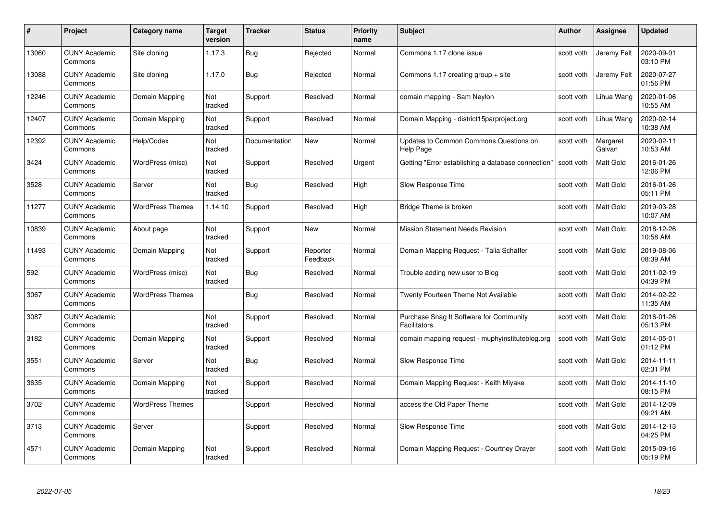| #     | Project                         | <b>Category name</b>    | <b>Target</b><br>version | <b>Tracker</b> | <b>Status</b>        | <b>Priority</b><br>name | <b>Subject</b>                                                 | <b>Author</b> | <b>Assignee</b>    | <b>Updated</b>         |
|-------|---------------------------------|-------------------------|--------------------------|----------------|----------------------|-------------------------|----------------------------------------------------------------|---------------|--------------------|------------------------|
| 13060 | <b>CUNY Academic</b><br>Commons | Site cloning            | 1.17.3                   | Bug            | Rejected             | Normal                  | Commons 1.17 clone issue                                       | scott voth    | Jeremy Felt        | 2020-09-01<br>03:10 PM |
| 13088 | <b>CUNY Academic</b><br>Commons | Site cloning            | 1.17.0                   | Bug            | Rejected             | Normal                  | Commons 1.17 creating group $+$ site                           | scott voth    | Jeremy Felt        | 2020-07-27<br>01:56 PM |
| 12246 | <b>CUNY Academic</b><br>Commons | Domain Mapping          | Not<br>tracked           | Support        | Resolved             | Normal                  | domain mapping - Sam Neylon                                    | scott voth    | Lihua Wang         | 2020-01-06<br>10:55 AM |
| 12407 | <b>CUNY Academic</b><br>Commons | Domain Mapping          | Not<br>tracked           | Support        | Resolved             | Normal                  | Domain Mapping - district15parproject.org                      | scott voth    | Lihua Wang         | 2020-02-14<br>10:38 AM |
| 12392 | <b>CUNY Academic</b><br>Commons | Help/Codex              | Not<br>tracked           | Documentation  | <b>New</b>           | Normal                  | Updates to Common Commons Questions on<br>Help Page            | scott voth    | Margaret<br>Galvan | 2020-02-11<br>10:53 AM |
| 3424  | <b>CUNY Academic</b><br>Commons | WordPress (misc)        | Not<br>tracked           | Support        | Resolved             | Urgent                  | Getting "Error establishing a database connection"             | scott voth    | <b>Matt Gold</b>   | 2016-01-26<br>12:06 PM |
| 3528  | <b>CUNY Academic</b><br>Commons | Server                  | Not<br>tracked           | <b>Bug</b>     | Resolved             | High                    | Slow Response Time                                             | scott voth    | Matt Gold          | 2016-01-26<br>05:11 PM |
| 11277 | <b>CUNY Academic</b><br>Commons | <b>WordPress Themes</b> | 1.14.10                  | Support        | Resolved             | High                    | Bridge Theme is broken                                         | scott voth    | Matt Gold          | 2019-03-28<br>10:07 AM |
| 10839 | <b>CUNY Academic</b><br>Commons | About page              | Not<br>tracked           | Support        | New                  | Normal                  | <b>Mission Statement Needs Revision</b>                        | scott voth    | <b>Matt Gold</b>   | 2018-12-26<br>10:58 AM |
| 11493 | <b>CUNY Academic</b><br>Commons | Domain Mapping          | Not<br>tracked           | Support        | Reporter<br>Feedback | Normal                  | Domain Mapping Request - Talia Schaffer                        | scott voth    | Matt Gold          | 2019-08-06<br>08:39 AM |
| 592   | <b>CUNY Academic</b><br>Commons | WordPress (misc)        | Not<br>tracked           | <b>Bug</b>     | Resolved             | Normal                  | Trouble adding new user to Blog                                | scott voth    | <b>Matt Gold</b>   | 2011-02-19<br>04:39 PM |
| 3067  | <b>CUNY Academic</b><br>Commons | <b>WordPress Themes</b> |                          | Bug            | Resolved             | Normal                  | Twenty Fourteen Theme Not Available                            | scott voth    | <b>Matt Gold</b>   | 2014-02-22<br>11:35 AM |
| 3087  | <b>CUNY Academic</b><br>Commons |                         | Not<br>tracked           | Support        | Resolved             | Normal                  | Purchase Snag It Software for Community<br><b>Facilitators</b> | scott voth    | Matt Gold          | 2016-01-26<br>05:13 PM |
| 3182  | <b>CUNY Academic</b><br>Commons | Domain Mapping          | Not<br>tracked           | Support        | Resolved             | Normal                  | domain mapping request - muphyinstituteblog.org                | scott voth    | <b>Matt Gold</b>   | 2014-05-01<br>01:12 PM |
| 3551  | CUNY Academic<br>Commons        | Server                  | Not<br>tracked           | Bug            | Resolved             | Normal                  | Slow Response Time                                             | scott voth    | Matt Gold          | 2014-11-11<br>02:31 PM |
| 3635  | <b>CUNY Academic</b><br>Commons | Domain Mapping          | Not<br>tracked           | Support        | Resolved             | Normal                  | Domain Mapping Request - Keith Miyake                          | scott voth    | Matt Gold          | 2014-11-10<br>08:15 PM |
| 3702  | <b>CUNY Academic</b><br>Commons | <b>WordPress Themes</b> |                          | Support        | Resolved             | Normal                  | access the Old Paper Theme                                     | scott voth    | <b>Matt Gold</b>   | 2014-12-09<br>09:21 AM |
| 3713  | <b>CUNY Academic</b><br>Commons | Server                  |                          | Support        | Resolved             | Normal                  | Slow Response Time                                             | scott voth    | Matt Gold          | 2014-12-13<br>04:25 PM |
| 4571  | CUNY Academic<br>Commons        | Domain Mapping          | Not<br>tracked           | Support        | Resolved             | Normal                  | Domain Mapping Request - Courtney Drayer                       | scott voth    | Matt Gold          | 2015-09-16<br>05:19 PM |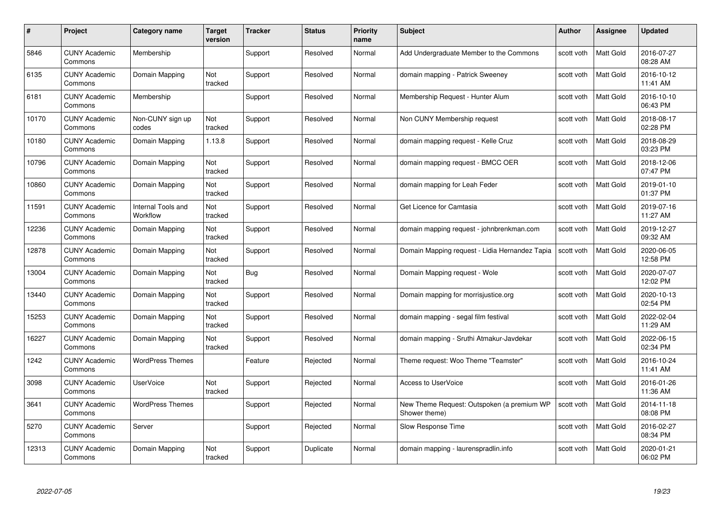| #     | Project                         | Category name                         | Target<br>version | <b>Tracker</b> | <b>Status</b> | <b>Priority</b><br>name | <b>Subject</b>                                              | <b>Author</b> | <b>Assignee</b>  | <b>Updated</b>         |
|-------|---------------------------------|---------------------------------------|-------------------|----------------|---------------|-------------------------|-------------------------------------------------------------|---------------|------------------|------------------------|
| 5846  | <b>CUNY Academic</b><br>Commons | Membership                            |                   | Support        | Resolved      | Normal                  | Add Undergraduate Member to the Commons                     | scott voth    | <b>Matt Gold</b> | 2016-07-27<br>08:28 AM |
| 6135  | <b>CUNY Academic</b><br>Commons | Domain Mapping                        | Not<br>tracked    | Support        | Resolved      | Normal                  | domain mapping - Patrick Sweeney                            | scott voth    | Matt Gold        | 2016-10-12<br>11:41 AM |
| 6181  | <b>CUNY Academic</b><br>Commons | Membership                            |                   | Support        | Resolved      | Normal                  | Membership Request - Hunter Alum                            | scott voth    | Matt Gold        | 2016-10-10<br>06:43 PM |
| 10170 | <b>CUNY Academic</b><br>Commons | Non-CUNY sign up<br>codes             | Not<br>tracked    | Support        | Resolved      | Normal                  | Non CUNY Membership request                                 | scott voth    | Matt Gold        | 2018-08-17<br>02:28 PM |
| 10180 | <b>CUNY Academic</b><br>Commons | Domain Mapping                        | 1.13.8            | Support        | Resolved      | Normal                  | domain mapping request - Kelle Cruz                         | scott voth    | <b>Matt Gold</b> | 2018-08-29<br>03:23 PM |
| 10796 | <b>CUNY Academic</b><br>Commons | Domain Mapping                        | Not<br>tracked    | Support        | Resolved      | Normal                  | domain mapping request - BMCC OER                           | scott voth    | <b>Matt Gold</b> | 2018-12-06<br>07:47 PM |
| 10860 | <b>CUNY Academic</b><br>Commons | Domain Mapping                        | Not<br>tracked    | Support        | Resolved      | Normal                  | domain mapping for Leah Feder                               | scott voth    | Matt Gold        | 2019-01-10<br>01:37 PM |
| 11591 | <b>CUNY Academic</b><br>Commons | <b>Internal Tools and</b><br>Workflow | Not<br>tracked    | Support        | Resolved      | Normal                  | Get Licence for Camtasia                                    | scott voth    | Matt Gold        | 2019-07-16<br>11:27 AM |
| 12236 | <b>CUNY Academic</b><br>Commons | Domain Mapping                        | Not<br>tracked    | Support        | Resolved      | Normal                  | domain mapping request - johnbrenkman.com                   | scott voth    | <b>Matt Gold</b> | 2019-12-27<br>09:32 AM |
| 12878 | <b>CUNY Academic</b><br>Commons | Domain Mapping                        | Not<br>tracked    | Support        | Resolved      | Normal                  | Domain Mapping request - Lidia Hernandez Tapia              | scott voth    | Matt Gold        | 2020-06-05<br>12:58 PM |
| 13004 | <b>CUNY Academic</b><br>Commons | Domain Mapping                        | Not<br>tracked    | <b>Bug</b>     | Resolved      | Normal                  | Domain Mapping request - Wole                               | scott voth    | Matt Gold        | 2020-07-07<br>12:02 PM |
| 13440 | <b>CUNY Academic</b><br>Commons | Domain Mapping                        | Not<br>tracked    | Support        | Resolved      | Normal                  | Domain mapping for morrisjustice.org                        | scott voth    | Matt Gold        | 2020-10-13<br>02:54 PM |
| 15253 | <b>CUNY Academic</b><br>Commons | Domain Mapping                        | Not<br>tracked    | Support        | Resolved      | Normal                  | domain mapping - segal film festival                        | scott voth    | Matt Gold        | 2022-02-04<br>11:29 AM |
| 16227 | <b>CUNY Academic</b><br>Commons | Domain Mapping                        | Not<br>tracked    | Support        | Resolved      | Normal                  | domain mapping - Sruthi Atmakur-Javdekar                    | scott voth    | Matt Gold        | 2022-06-15<br>02:34 PM |
| 1242  | <b>CUNY Academic</b><br>Commons | <b>WordPress Themes</b>               |                   | Feature        | Rejected      | Normal                  | Theme request: Woo Theme "Teamster"                         | scott voth    | Matt Gold        | 2016-10-24<br>11:41 AM |
| 3098  | <b>CUNY Academic</b><br>Commons | <b>UserVoice</b>                      | Not<br>tracked    | Support        | Rejected      | Normal                  | Access to UserVoice                                         | scott voth    | Matt Gold        | 2016-01-26<br>11:36 AM |
| 3641  | <b>CUNY Academic</b><br>Commons | <b>WordPress Themes</b>               |                   | Support        | Rejected      | Normal                  | New Theme Request: Outspoken (a premium WP<br>Shower theme) | scott voth    | <b>Matt Gold</b> | 2014-11-18<br>08:08 PM |
| 5270  | <b>CUNY Academic</b><br>Commons | Server                                |                   | Support        | Rejected      | Normal                  | Slow Response Time                                          | scott voth    | Matt Gold        | 2016-02-27<br>08:34 PM |
| 12313 | CUNY Academic<br>Commons        | Domain Mapping                        | Not<br>tracked    | Support        | Duplicate     | Normal                  | domain mapping - laurenspradlin.info                        | scott voth    | Matt Gold        | 2020-01-21<br>06:02 PM |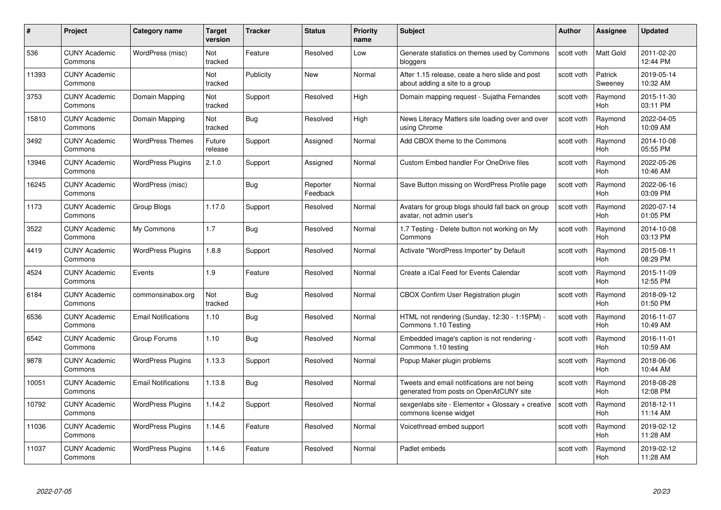| #     | Project                         | <b>Category name</b>       | Target<br>version | <b>Tracker</b> | <b>Status</b>        | <b>Priority</b><br>name | <b>Subject</b>                                                                          | <b>Author</b> | <b>Assignee</b>       | <b>Updated</b>         |
|-------|---------------------------------|----------------------------|-------------------|----------------|----------------------|-------------------------|-----------------------------------------------------------------------------------------|---------------|-----------------------|------------------------|
| 536   | <b>CUNY Academic</b><br>Commons | WordPress (misc)           | Not<br>tracked    | Feature        | Resolved             | Low                     | Generate statistics on themes used by Commons<br>bloggers                               | scott voth    | <b>Matt Gold</b>      | 2011-02-20<br>12:44 PM |
| 11393 | <b>CUNY Academic</b><br>Commons |                            | Not<br>tracked    | Publicity      | New                  | Normal                  | After 1.15 release, ceate a hero slide and post<br>about adding a site to a group       | scott voth    | Patrick<br>Sweeney    | 2019-05-14<br>10:32 AM |
| 3753  | <b>CUNY Academic</b><br>Commons | Domain Mapping             | Not<br>tracked    | Support        | Resolved             | High                    | Domain mapping request - Sujatha Fernandes                                              | scott voth    | Raymond<br>Hoh        | 2015-11-30<br>03:11 PM |
| 15810 | <b>CUNY Academic</b><br>Commons | Domain Mapping             | Not<br>tracked    | Bug            | Resolved             | High                    | News Literacy Matters site loading over and over<br>using Chrome                        | scott voth    | Raymond<br><b>Hoh</b> | 2022-04-05<br>10:09 AM |
| 3492  | <b>CUNY Academic</b><br>Commons | <b>WordPress Themes</b>    | Future<br>release | Support        | Assigned             | Normal                  | Add CBOX theme to the Commons                                                           | scott voth    | Raymond<br>Hoh        | 2014-10-08<br>05:55 PM |
| 13946 | <b>CUNY Academic</b><br>Commons | <b>WordPress Plugins</b>   | 2.1.0             | Support        | Assigned             | Normal                  | <b>Custom Embed handler For OneDrive files</b>                                          | scott voth    | Raymond<br>Hoh        | 2022-05-26<br>10:46 AM |
| 16245 | <b>CUNY Academic</b><br>Commons | WordPress (misc)           |                   | Bug            | Reporter<br>Feedback | Normal                  | Save Button missing on WordPress Profile page                                           | scott voth    | Raymond<br>Hoh        | 2022-06-16<br>03:09 PM |
| 1173  | <b>CUNY Academic</b><br>Commons | Group Blogs                | 1.17.0            | Support        | Resolved             | Normal                  | Avatars for group blogs should fall back on group<br>avatar, not admin user's           | scott voth    | Raymond<br>Hoh        | 2020-07-14<br>01:05 PM |
| 3522  | <b>CUNY Academic</b><br>Commons | My Commons                 | 1.7               | Bug            | Resolved             | Normal                  | 1.7 Testing - Delete button not working on My<br>Commons                                | scott voth    | Raymond<br><b>Hoh</b> | 2014-10-08<br>03:13 PM |
| 4419  | <b>CUNY Academic</b><br>Commons | <b>WordPress Plugins</b>   | 1.8.8             | Support        | Resolved             | Normal                  | Activate "WordPress Importer" by Default                                                | scott voth    | Raymond<br>Hoh        | 2015-08-11<br>08:29 PM |
| 4524  | <b>CUNY Academic</b><br>Commons | Events                     | 1.9               | Feature        | Resolved             | Normal                  | Create a iCal Feed for Events Calendar                                                  | scott voth    | Raymond<br>Hoh        | 2015-11-09<br>12:55 PM |
| 6184  | <b>CUNY Academic</b><br>Commons | commonsinabox.org          | Not<br>tracked    | Bug            | Resolved             | Normal                  | CBOX Confirm User Registration plugin                                                   | scott voth    | Raymond<br><b>Hoh</b> | 2018-09-12<br>01:50 PM |
| 6536  | <b>CUNY Academic</b><br>Commons | <b>Email Notifications</b> | 1.10              | <b>Bug</b>     | Resolved             | Normal                  | HTML not rendering (Sunday, 12:30 - 1:15PM) -<br>Commons 1.10 Testing                   | scott voth    | Raymond<br>Hoh        | 2016-11-07<br>10:49 AM |
| 6542  | <b>CUNY Academic</b><br>Commons | Group Forums               | 1.10              | <b>Bug</b>     | Resolved             | Normal                  | Embedded image's caption is not rendering -<br>Commons 1.10 testing                     | scott voth    | Raymond<br>Hoh        | 2016-11-01<br>10:59 AM |
| 9878  | CUNY Academic<br>Commons        | <b>WordPress Plugins</b>   | 1.13.3            | Support        | Resolved             | Normal                  | Popup Maker plugin problems                                                             | scott voth    | Raymond<br><b>Hoh</b> | 2018-06-06<br>10:44 AM |
| 10051 | <b>CUNY Academic</b><br>Commons | <b>Email Notifications</b> | 1.13.8            | Bug            | Resolved             | Normal                  | Tweets and email notifications are not being<br>generated from posts on OpenAtCUNY site | scott voth    | Raymond<br><b>Hoh</b> | 2018-08-28<br>12:08 PM |
| 10792 | <b>CUNY Academic</b><br>Commons | <b>WordPress Plugins</b>   | 1.14.2            | Support        | Resolved             | Normal                  | sexgenlabs site - Elementor + Glossary + creative<br>commons license widget             | scott voth    | Raymond<br><b>Hoh</b> | 2018-12-11<br>11:14 AM |
| 11036 | <b>CUNY Academic</b><br>Commons | <b>WordPress Plugins</b>   | 1.14.6            | Feature        | Resolved             | Normal                  | Voicethread embed support                                                               | scott voth    | Raymond<br><b>Hoh</b> | 2019-02-12<br>11:28 AM |
| 11037 | <b>CUNY Academic</b><br>Commons | <b>WordPress Plugins</b>   | 1.14.6            | Feature        | Resolved             | Normal                  | Padlet embeds                                                                           | scott voth    | Raymond<br>Hoh        | 2019-02-12<br>11:28 AM |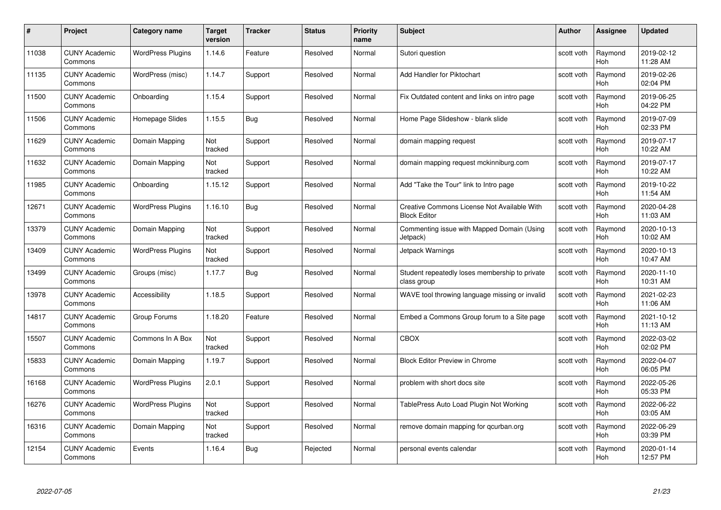| #     | Project                         | <b>Category name</b>     | Target<br>version | <b>Tracker</b> | <b>Status</b> | <b>Priority</b><br>name | <b>Subject</b>                                                     | <b>Author</b> | <b>Assignee</b>       | <b>Updated</b>         |
|-------|---------------------------------|--------------------------|-------------------|----------------|---------------|-------------------------|--------------------------------------------------------------------|---------------|-----------------------|------------------------|
| 11038 | <b>CUNY Academic</b><br>Commons | <b>WordPress Plugins</b> | 1.14.6            | Feature        | Resolved      | Normal                  | Sutori question                                                    | scott voth    | Raymond<br><b>Hoh</b> | 2019-02-12<br>11:28 AM |
| 11135 | <b>CUNY Academic</b><br>Commons | WordPress (misc)         | 1.14.7            | Support        | Resolved      | Normal                  | Add Handler for Piktochart                                         | scott voth    | Raymond<br><b>Hoh</b> | 2019-02-26<br>02:04 PM |
| 11500 | <b>CUNY Academic</b><br>Commons | Onboarding               | 1.15.4            | Support        | Resolved      | Normal                  | Fix Outdated content and links on intro page                       | scott voth    | Raymond<br>Hoh        | 2019-06-25<br>04:22 PM |
| 11506 | <b>CUNY Academic</b><br>Commons | Homepage Slides          | 1.15.5            | <b>Bug</b>     | Resolved      | Normal                  | Home Page Slideshow - blank slide                                  | scott voth    | Raymond<br>Hoh        | 2019-07-09<br>02:33 PM |
| 11629 | <b>CUNY Academic</b><br>Commons | Domain Mapping           | Not<br>tracked    | Support        | Resolved      | Normal                  | domain mapping request                                             | scott voth    | Raymond<br>Hoh        | 2019-07-17<br>10:22 AM |
| 11632 | <b>CUNY Academic</b><br>Commons | Domain Mapping           | Not<br>tracked    | Support        | Resolved      | Normal                  | domain mapping request mckinniburg.com                             | scott voth    | Raymond<br>Hoh        | 2019-07-17<br>10:22 AM |
| 11985 | <b>CUNY Academic</b><br>Commons | Onboarding               | 1.15.12           | Support        | Resolved      | Normal                  | Add "Take the Tour" link to Intro page                             | scott voth    | Raymond<br>Hoh        | 2019-10-22<br>11:54 AM |
| 12671 | <b>CUNY Academic</b><br>Commons | <b>WordPress Plugins</b> | 1.16.10           | <b>Bug</b>     | Resolved      | Normal                  | Creative Commons License Not Available With<br><b>Block Editor</b> | scott voth    | Raymond<br><b>Hoh</b> | 2020-04-28<br>11:03 AM |
| 13379 | <b>CUNY Academic</b><br>Commons | Domain Mapping           | Not<br>tracked    | Support        | Resolved      | Normal                  | Commenting issue with Mapped Domain (Using<br>Jetpack)             | scott voth    | Raymond<br>Hoh        | 2020-10-13<br>10:02 AM |
| 13409 | <b>CUNY Academic</b><br>Commons | <b>WordPress Plugins</b> | Not<br>tracked    | Support        | Resolved      | Normal                  | Jetpack Warnings                                                   | scott voth    | Raymond<br><b>Hoh</b> | 2020-10-13<br>10:47 AM |
| 13499 | CUNY Academic<br>Commons        | Groups (misc)            | 1.17.7            | <b>Bug</b>     | Resolved      | Normal                  | Student repeatedly loses membership to private<br>class group      | scott voth    | Raymond<br>Hoh        | 2020-11-10<br>10:31 AM |
| 13978 | <b>CUNY Academic</b><br>Commons | Accessibility            | 1.18.5            | Support        | Resolved      | Normal                  | WAVE tool throwing language missing or invalid                     | scott voth    | Raymond<br>Hoh        | 2021-02-23<br>11:06 AM |
| 14817 | <b>CUNY Academic</b><br>Commons | Group Forums             | 1.18.20           | Feature        | Resolved      | Normal                  | Embed a Commons Group forum to a Site page                         | scott voth    | Raymond<br>Hoh        | 2021-10-12<br>11:13 AM |
| 15507 | <b>CUNY Academic</b><br>Commons | Commons In A Box         | Not<br>tracked    | Support        | Resolved      | Normal                  | <b>CBOX</b>                                                        | scott voth    | Raymond<br>Hoh        | 2022-03-02<br>02:02 PM |
| 15833 | <b>CUNY Academic</b><br>Commons | Domain Mapping           | 1.19.7            | Support        | Resolved      | Normal                  | <b>Block Editor Preview in Chrome</b>                              | scott voth    | Raymond<br>Hoh        | 2022-04-07<br>06:05 PM |
| 16168 | <b>CUNY Academic</b><br>Commons | <b>WordPress Plugins</b> | 2.0.1             | Support        | Resolved      | Normal                  | problem with short docs site                                       | scott voth    | Raymond<br>Hoh        | 2022-05-26<br>05:33 PM |
| 16276 | <b>CUNY Academic</b><br>Commons | <b>WordPress Plugins</b> | Not<br>tracked    | Support        | Resolved      | Normal                  | TablePress Auto Load Plugin Not Working                            | scott voth    | Raymond<br><b>Hoh</b> | 2022-06-22<br>03:05 AM |
| 16316 | <b>CUNY Academic</b><br>Commons | Domain Mapping           | Not<br>tracked    | Support        | Resolved      | Normal                  | remove domain mapping for qcurban.org                              | scott voth    | Raymond<br>Hoh        | 2022-06-29<br>03:39 PM |
| 12154 | <b>CUNY Academic</b><br>Commons | Events                   | 1.16.4            | <b>Bug</b>     | Rejected      | Normal                  | personal events calendar                                           | scott voth    | Raymond<br>Hoh        | 2020-01-14<br>12:57 PM |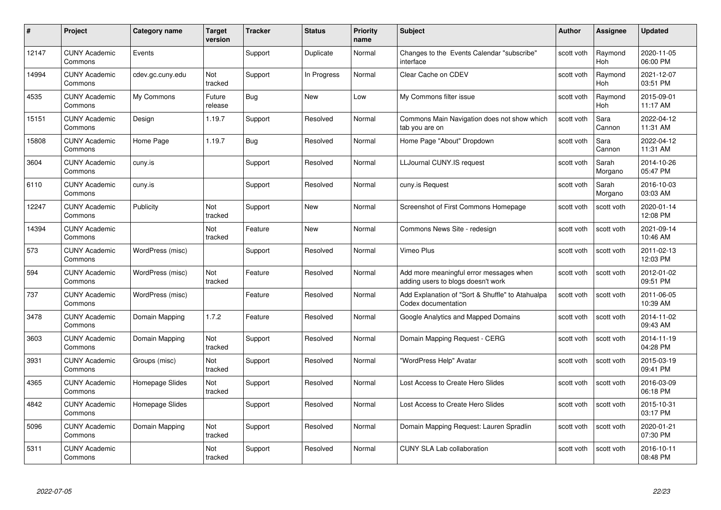| #     | Project                         | <b>Category name</b> | <b>Target</b><br>version | <b>Tracker</b> | <b>Status</b> | <b>Priority</b><br>name | <b>Subject</b>                                                                | <b>Author</b> | Assignee              | <b>Updated</b>         |
|-------|---------------------------------|----------------------|--------------------------|----------------|---------------|-------------------------|-------------------------------------------------------------------------------|---------------|-----------------------|------------------------|
| 12147 | <b>CUNY Academic</b><br>Commons | Events               |                          | Support        | Duplicate     | Normal                  | Changes to the Events Calendar "subscribe"<br>interface                       | scott voth    | Raymond<br><b>Hoh</b> | 2020-11-05<br>06:00 PM |
| 14994 | <b>CUNY Academic</b><br>Commons | cdev.gc.cuny.edu     | Not<br>tracked           | Support        | In Progress   | Normal                  | Clear Cache on CDEV                                                           | scott voth    | Raymond<br><b>Hoh</b> | 2021-12-07<br>03:51 PM |
| 4535  | <b>CUNY Academic</b><br>Commons | My Commons           | Future<br>release        | <b>Bug</b>     | <b>New</b>    | Low                     | My Commons filter issue                                                       | scott voth    | Raymond<br>Hoh        | 2015-09-01<br>11:17 AM |
| 15151 | <b>CUNY Academic</b><br>Commons | Design               | 1.19.7                   | Support        | Resolved      | Normal                  | Commons Main Navigation does not show which<br>tab you are on                 | scott voth    | Sara<br>Cannon        | 2022-04-12<br>11:31 AM |
| 15808 | <b>CUNY Academic</b><br>Commons | Home Page            | 1.19.7                   | <b>Bug</b>     | Resolved      | Normal                  | Home Page "About" Dropdown                                                    | scott voth    | Sara<br>Cannon        | 2022-04-12<br>11:31 AM |
| 3604  | <b>CUNY Academic</b><br>Commons | cuny.is              |                          | Support        | Resolved      | Normal                  | LLJournal CUNY.IS request                                                     | scott voth    | Sarah<br>Morgano      | 2014-10-26<br>05:47 PM |
| 6110  | <b>CUNY Academic</b><br>Commons | cuny.is              |                          | Support        | Resolved      | Normal                  | cuny.is Request                                                               | scott voth    | Sarah<br>Morgano      | 2016-10-03<br>03:03 AM |
| 12247 | <b>CUNY Academic</b><br>Commons | Publicity            | Not<br>tracked           | Support        | New           | Normal                  | Screenshot of First Commons Homepage                                          | scott voth    | scott voth            | 2020-01-14<br>12:08 PM |
| 14394 | <b>CUNY Academic</b><br>Commons |                      | Not<br>tracked           | Feature        | New           | Normal                  | Commons News Site - redesign                                                  | scott voth    | scott voth            | 2021-09-14<br>10:46 AM |
| 573   | <b>CUNY Academic</b><br>Commons | WordPress (misc)     |                          | Support        | Resolved      | Normal                  | Vimeo Plus                                                                    | scott voth    | scott voth            | 2011-02-13<br>12:03 PM |
| 594   | <b>CUNY Academic</b><br>Commons | WordPress (misc)     | Not<br>tracked           | Feature        | Resolved      | Normal                  | Add more meaningful error messages when<br>adding users to blogs doesn't work | scott voth    | scott voth            | 2012-01-02<br>09:51 PM |
| 737   | <b>CUNY Academic</b><br>Commons | WordPress (misc)     |                          | Feature        | Resolved      | Normal                  | Add Explanation of "Sort & Shuffle" to Atahualpa<br>Codex documentation       | scott voth    | scott voth            | 2011-06-05<br>10:39 AM |
| 3478  | <b>CUNY Academic</b><br>Commons | Domain Mapping       | 1.7.2                    | Feature        | Resolved      | Normal                  | Google Analytics and Mapped Domains                                           | scott voth    | scott voth            | 2014-11-02<br>09:43 AM |
| 3603  | <b>CUNY Academic</b><br>Commons | Domain Mapping       | Not<br>tracked           | Support        | Resolved      | Normal                  | Domain Mapping Request - CERG                                                 | scott voth    | scott voth            | 2014-11-19<br>04:28 PM |
| 3931  | <b>CUNY Academic</b><br>Commons | Groups (misc)        | Not<br>tracked           | Support        | Resolved      | Normal                  | "WordPress Help" Avatar                                                       | scott voth    | scott voth            | 2015-03-19<br>09:41 PM |
| 4365  | <b>CUNY Academic</b><br>Commons | Homepage Slides      | Not<br>tracked           | Support        | Resolved      | Normal                  | Lost Access to Create Hero Slides                                             | scott voth    | scott voth            | 2016-03-09<br>06:18 PM |
| 4842  | <b>CUNY Academic</b><br>Commons | Homepage Slides      |                          | Support        | Resolved      | Normal                  | Lost Access to Create Hero Slides                                             | scott voth    | scott voth            | 2015-10-31<br>03:17 PM |
| 5096  | <b>CUNY Academic</b><br>Commons | Domain Mapping       | Not<br>tracked           | Support        | Resolved      | Normal                  | Domain Mapping Request: Lauren Spradlin                                       | scott voth    | scott voth            | 2020-01-21<br>07:30 PM |
| 5311  | <b>CUNY Academic</b><br>Commons |                      | Not<br>tracked           | Support        | Resolved      | Normal                  | <b>CUNY SLA Lab collaboration</b>                                             | scott voth    | scott voth            | 2016-10-11<br>08:48 PM |